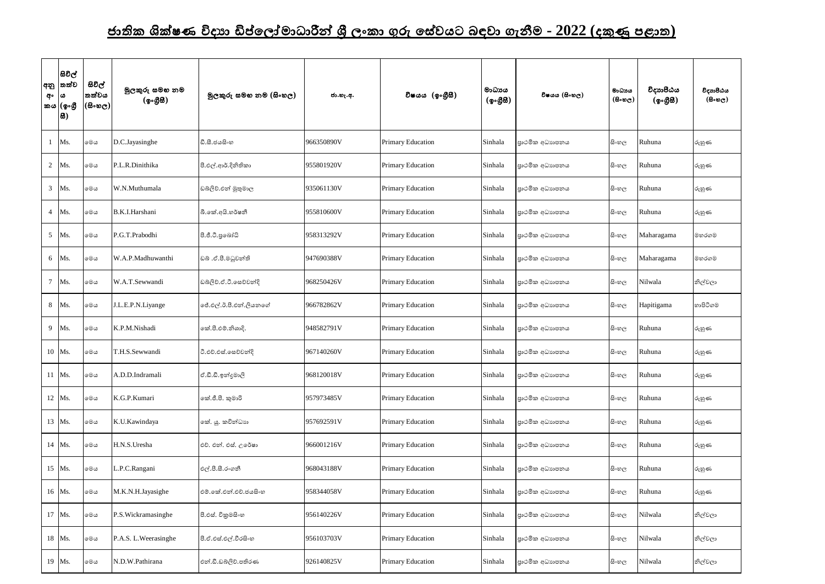## <u>ජාතික ශික්ෂණ විදාහ ඩිප්ලෝමාධාරීන් ශී ලංකා ගුරු සේවයට බඳවා ගැනීම - 2022 (දකුණු පළාත)</u>

| අ∘  ය | සිවිල්<br> අනු  තත්ව<br>කය (ඉංගී<br> සි) | සිවිල්<br>තත්වය<br>(සිංහල) | මූලකුරු සමහ නම<br>(ඉංගීසී) | මූලකුරු සමහ නම (සිංහල) | ජා.හැ.අ.   | විෂයය (ඉංගීසී)           | මාධායය<br>$({\cal Q} \circ \mathcal{B} \boxtimes)$ | විෂයය (සිංහල)  | මාධායය<br>$(B \circ \omega_C)$ | විදාහපීඨය<br>(ඉංගීසි) | විදාහපීඨය<br>$($ සිංහල) |
|-------|------------------------------------------|----------------------------|----------------------------|------------------------|------------|--------------------------|----------------------------------------------------|----------------|--------------------------------|-----------------------|-------------------------|
|       | 1 Ms.                                    | මෙය                        | D.C.Jayasinghe             | ඩී.සී.ජයසිංහ           | 966350890V | <b>Primary Education</b> | Sinhala                                            | පාථමික අධාහපනය | සිංහල                          | Ruhuna                | රුහුණ                   |
|       | 2 Ms.                                    | මෙය                        | P.L.R.Dinithika            | පී.එල්.ආර්.දිනිතිකා    | 955801920V | Primary Education        | Sinhala                                            | පාථමික අධාහපනය | සි∘හල                          | Ruhuna                | රුහුණ                   |
|       | 3 Ms.                                    | මෙය                        | W.N.Muthumala              | ඩබ්ලිව්.එන් මුතුමාල    | 935061130V | Primary Education        | Sinhala                                            | පාථමික අධාහපනය | සි∘හල                          | Ruhuna                | රුහුණ                   |
|       | 4 Ms.                                    | මෙය                        | B.K.I.Harshani             | බී.කේ.අයි.හර්ෂනී       | 955810600V | Primary Education        | Sinhala                                            | පාථමික අධාහපනය | සිංහල                          | Ruhuna                | රුහුණ                   |
|       | 5 Ms.                                    | මෙය                        | P.G.T.Prabodhi             | පී.ජී.ටී.පුබෝධි        | 958313292V | <b>Primary Education</b> | Sinhala                                            | පාථමික අධාහපනය | සිංහල                          | Maharagama            | මහරගම                   |
|       | 6 Ms.                                    | මෙය                        | W.A.P.Madhuwanthi          | ඩබ් .ඒ.පී.මධුවන්ති     | 947690388V | <b>Primary Education</b> | Sinhala                                            | පාථමික අධාහපනය | සි∘හල                          | Maharagama            | මහරගම                   |
|       | 7 Ms.                                    | මෙය                        | W.A.T.Sewwandi             | ඩබලිව්.ඒ.ටී.සෙව්වන්දි  | 968250426V | <b>Primary Education</b> | Sinhala                                            | පාථමික අධාහපනය | සි∘හල                          | Nilwala               | නිල්වලා                 |
|       | 8 Ms.                                    | මෙය                        | J.L.E.P.N.Liyange          | ජේ.එල්.ඊ.පී.එන්.ලියනගේ | 966782862V | Primary Education        | Sinhala                                            | පාථමික අධාහපනය | සිංහල                          | Hapitigama            | හාපිටිගම                |
|       | 9 Ms.                                    | මෙය                        | K.P.M.Nishadi              | කේ.පී.එම්.නිශාදි.      | 948582791V | Primary Education        | Sinhala                                            | පාථමික අධාහපනය | සිංහල                          | Ruhuna                | රුහුණ                   |
|       | 10 Ms.                                   | මෙය                        | T.H.S.Sewwandi             | ටී.එච්.එස්.සෙව්වන්දි   | 967140260V | Primary Education        | Sinhala                                            | පාථමික අධාහපනය | සිංහල                          | Ruhuna                | රුහුණ                   |
|       | 11 Ms.                                   | මෙය                        | A.D.D.Indramali            | ඒ.ඩී.ඩී.ඉන්දමාලි       | 968120018V | <b>Primary Education</b> | Sinhala                                            | පාථමික අධාහපනය | සිංහල                          | Ruhuna                | රුහුණ                   |
|       | 12 Ms.                                   | මෙය                        | K.G.P.Kumari               | කේ.ජී.පී. කුමාරි       | 957973485V | Primary Education        | Sinhala                                            | පාථමික අධාහපනය | සිංහල                          | Ruhuna                | රුහුණ                   |
|       | 13 Ms.                                   | මෙය                        | K.U.Kawindaya              | කේ. යූ. කවින්ධාහ       | 957692591V | Primary Education        | Sinhala                                            | පාථමික අධාහපනය | සිංහල                          | Ruhuna                | රුහුණ                   |
|       | 14 Ms.                                   | මෙය                        | H.N.S.Uresha               | එච්. එන්. එස්. උරේෂා   | 966001216V | <b>Primary Education</b> | Sinhala                                            | පාථමික අධාහපනය | සිංහල                          | Ruhuna                | රුහුණ                   |
|       | 15 Ms.                                   | මෙය                        | L.P.C.Rangani              | එල්.පී.සී.රංගනී        | 968043188V | Primary Education        | Sinhala                                            | පාථමික අධාහපනය | සිංහල                          | Ruhuna                | රුහුණ                   |
|       | 16 Ms.                                   | මෙය                        | M.K.N.H.Jayasighe          | එම්.කේ.එන්.එච්.ජයසිංහ  | 958344058V | Primary Education        | Sinhala                                            | පාථමික අධාහපනය | සිංහල                          | Ruhuna                | රුහුණ                   |
|       | 17 Ms.                                   | මෙය                        | P.S. Wickramasinghe        | පී.එස්. විකුමසිංහ      | 956140226V | Primary Education        | Sinhala                                            | පාථමික අධාහපනය | සිංහල                          | Nilwala               | නිල්වලා                 |
|       | 18 Ms.                                   | මෙය                        | P.A.S. L. Weerasinghe      | පී.ඒ.එස්.එල්.වීරසිංහ   | 956103703V | Primary Education        | Sinhala                                            | පාථමික අධාහපනය | සිංහල                          | Nilwala               | නිල්වලා                 |
|       | 19 Ms.                                   | මෙය                        | N.D.W.Pathirana            | එන්.ඩී.ඩබ්ලිව්.පතිරණ   | 926140825V | <b>Primary Education</b> | Sinhala                                            | පාථමික අධාහපනය | සිංහල                          | Nilwala               | නිල්වලා                 |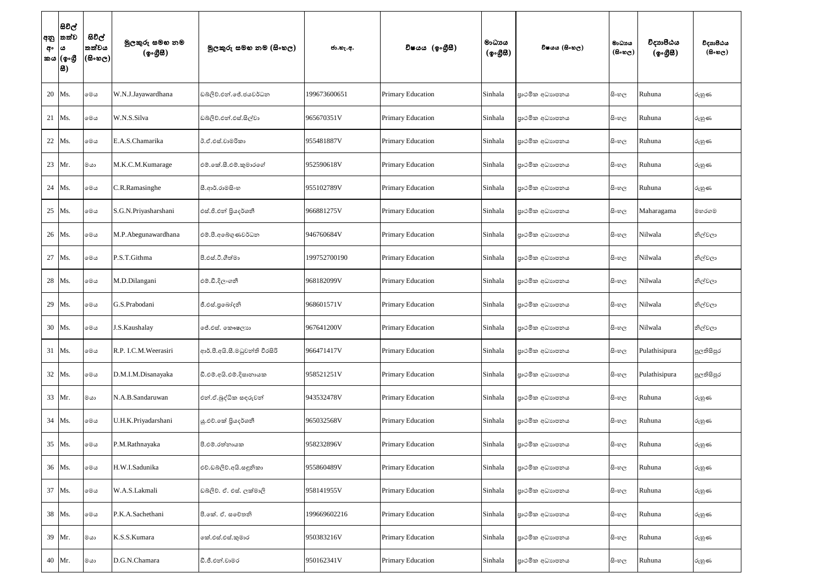| අනු<br>අං | සිවිල්<br> තත්ව<br>ය<br>කය (ඉංගුී<br>8 | සිවිල්<br>තත්වය<br>(600) | මුලකුරු සමහ නම<br>(ඉංගීසී) | මූලකුරු සමහ නම (සිංහල)         | ජා.හැ.අ.     | විෂයය (ඉංගීුසී)          | මාධායය<br>$(\phi \circ \mathcal{B} \mathcal{B})$ | විෂයය (සිංහල)  | මාධායය<br>$(B \circ \omega_C)$ | විදාහපීඨය<br>$(\phi \circ \mathcal{B} \mathcal{B})$ | විදාහපීඨය<br>$($ සිංහල $)$ |
|-----------|----------------------------------------|--------------------------|----------------------------|--------------------------------|--------------|--------------------------|--------------------------------------------------|----------------|--------------------------------|-----------------------------------------------------|----------------------------|
| 20        | Ms.                                    | මෙය                      | W.N.J.Jayawardhana         | ඩබ්ලිව්.එන්.ජේ.ජයවර්ධන         | 199673600651 | Primary Education        | Sinhala                                          | පාථමික අධාහපනය | සිංහල                          | Ruhuna                                              | රුහුණ                      |
| 21 Ms.    |                                        | මෙය                      | W.N.S.Silva                | ඩබ්ලිව්.එන්.එස්.සිල්වා         | 965670351V   | Primary Education        | Sinhala                                          | පාථමික අධාහපනය | සි∘හල                          | Ruhuna                                              | රුහුණ                      |
| 22        | Ms.                                    | මෙය                      | E.A.S.Chamarika            | ඊ.ඒ.එස්.චාමරිකා                | 955481887V   | Primary Education        | Sinhala                                          | පාථමික අධාහපනය | සි∘හල                          | Ruhuna                                              | රුහුණ                      |
| 23        | Mr.                                    | මයා                      | M.K.C.M.Kumarage           | එම්.කේ.සී.එම්.කුමාරගේ          | 952590618V   | <b>Primary Education</b> | Sinhala                                          | පාථමික අධාහපනය | සිංහල                          | Ruhuna                                              | රුහුණ                      |
| 24        | Ms.                                    | මෙය                      | C.R.Ramasinghe             | සී.ආර්.රාමසිංහ                 | 955102789V   | Primary Education        | Sinhala                                          | පාථමික අධාහපනය | සි∘හල                          | Ruhuna                                              | රුහුණ                      |
| 25        | Ms.                                    | මෙය                      | S.G.N.Priyasharshani       | එස්.ජී.එන් පියදර්ශනී           | 966881275V   | <b>Primary Education</b> | Sinhala                                          | පාථමික අධාහපනය | සිංහල                          | Maharagama                                          | මහරගම                      |
| 26 Ms.    |                                        | මෙය                      | M.P.Abegunawardhana        | එම්.පී.අබෙගුණවර්ධන             | 946760684V   | Primary Education        | Sinhala                                          | පාථමික අධාහපනය | සි∘හල                          | Nilwala                                             | නිල්වලා                    |
| 27        | Ms.                                    | මෙය                      | P.S.T.Githma               | පී.එස්.ටී.ගීත්මා               | 199752700190 | Primary Education        | Sinhala                                          | පාථමික අධාහපනය | සි∘හල                          | Nilwala                                             | නිල්වලා                    |
| 28        | Ms.                                    | මෙය                      | M.D.Dilangani              | එම්.ඩී.දිලංගනී                 | 968182099V   | Primary Education        | Sinhala                                          | පාථමික අධාහපනය | සිංහල                          | Nilwala                                             | නිල්වලා                    |
| 29        | Ms.                                    | මෙය                      | G.S.Prabodani              | ජී.එස්.පුබෝදනි                 | 968601571V   | Primary Education        | Sinhala                                          | පාථමික අධාහපනය | සි∘හල                          | Nilwala                                             | නිල්වලා                    |
| 30        | Ms.                                    | මෙය                      | J.S.Kaushalay              | ජේ.එස්. කෞෂලාග                 | 967641200V   | <b>Primary Education</b> | Sinhala                                          | පාථමික අධාහපනය | සි∘හල                          | Nilwala                                             | නිල්වලා                    |
|           | 31 Ms.                                 | මෙය                      | R.P. I.C.M. Weerasiri      | ආර්.පී.අයි.සී.මධුවන්ති වීරසිරි | 966471417V   | Primary Education        | Sinhala                                          | පාථමික අධාහපනය | සි∘හල                          | Pulathisipura                                       | පුලතිසිපුර                 |
|           | 32 Ms.                                 | මෙය                      | D.M.I.M.Disanayaka         | ඩී.එම්.අයි.එම්.දිසානායක        | 958521251V   | <b>Primary Education</b> | Sinhala                                          | පාථමික අධාහපනය | සිංහල                          | Pulathisipura                                       | පුලතිසිපුර                 |
|           | 33 Mr.                                 | ගය                       | N.A.B.Sandaruwan           | එන්.ඒ.බුද්ධික සඳුරුවන්         | 943532478V   | Primary Education        | Sinhala                                          | පාථමික අධාහපනය | සිංහල                          | Ruhuna                                              | රුහුණ                      |
|           | 34 Ms.                                 | මෙය                      | U.H.K.Priyadarshani        | යු.එච්.කේ පියදර්ශනී            | 965032568V   | Primary Education        | Sinhala                                          | පාථමික අධාහපනය | සිංහල                          | Ruhuna                                              | රුහුණ                      |
|           | 35 Ms.                                 | මෙය                      | P.M.Rathnayaka             | පී.එම්.රත්නායක                 | 958232896V   | Primary Education        | Sinhala                                          | පාථමික අධාහපනය | සිංහල                          | Ruhuna                                              | රුහුණ                      |
|           | 36 Ms.                                 | මෙය                      | H.W.I.Sadunika             | එච්.ඩබ්ලිව්.අයි.සඳුනිකා        | 955860489V   | Primary Education        | Sinhala                                          | පාථමික අධාහපනය | සිංහල                          | Ruhuna                                              | රුහුණ                      |
| 37        | Ms.                                    | මෙය                      | W.A.S.Lakmali              | ඩබලිව්. ඒ. එස්. ලක්මාලි        | 958141955V   | <b>Primary Education</b> | Sinhala                                          | පාථමික අධාහපනය | සිංහල                          | Ruhuna                                              | රුහුණ                      |
|           | 38 Ms.                                 | මෙය                      | P.K.A.Sachethani           | පී.කේ. ඒ. සවේතනි               | 199669602216 | Primary Education        | Sinhala                                          | පාථමික අධාහපනය | සිංහල                          | Ruhuna                                              | රුහුණ                      |
|           | 39 Mr.                                 | මයා                      | K.S.S.Kumara               | කේ.එස්.එස්.කුමාර               | 950383216V   | Primary Education        | Sinhala                                          | පාථමික අධාහපනය | සිංහල                          | Ruhuna                                              | රුහුණ                      |
|           | 40 Mr.                                 | මයා                      | D.G.N.Chamara              | ඩී.ජී.එන්.චාමර                 | 950162341V   | Primary Education        | Sinhala                                          | පාථමික අධාහපනය | සිංහල                          | Ruhuna                                              | රුහුණ                      |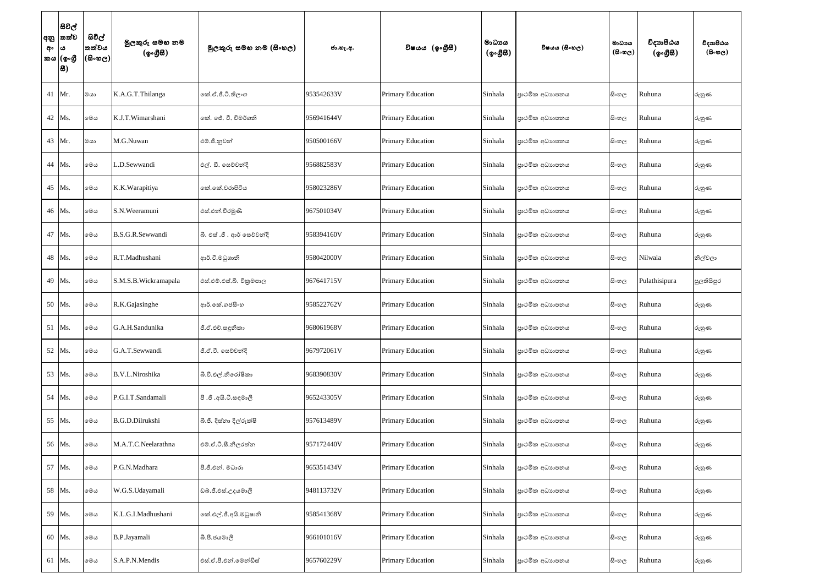| අං  ය | සිවිල්<br> අනු  තත්ව<br>කය  (ඉංගී<br> 8) | සිවිල්<br>තත්වය<br> (සිංහල) | මුලකුරු සමහ නම<br>(ඉංගීසී) | මූලකුරු සමහ නම (සිංහල)      | ජා.හැ.අ.   | විෂයය (ඉංගීසී)           | මාධායය<br>$({\cal Q} \circ \mathcal{B} \mathcal{B})$ | විෂයය (සිංහල)  | මාධායය<br>$(B \circ \omega_C)$ | විදාහපීඨය<br>$(\phi \circ \mathcal{B} \mathcal{B})$ | විදාහපීඨය<br>$($ සිංහල) |
|-------|------------------------------------------|-----------------------------|----------------------------|-----------------------------|------------|--------------------------|------------------------------------------------------|----------------|--------------------------------|-----------------------------------------------------|-------------------------|
|       | 41 Mr.                                   | ගය                          | K.A.G.T.Thilanga           | කේ.ඒ.ජී.ටී.තිලංග            | 953542633V | <b>Primary Education</b> | Sinhala                                              | පාථමික අධාහපනය | සි∘හල                          | Ruhuna                                              | රුහුණ                   |
|       | 42 Ms.                                   | මෙය                         | K.J.T.Wimarshani           | කේ. ජේ. ටී. විමර්ශනි        | 956941644V | <b>Primary Education</b> | Sinhala                                              | පාථමික අධාහපනය | සිංහල                          | Ruhuna                                              | රුහුණ                   |
|       | 43 Mr.                                   | ගය                          | M.G.Nuwan                  | එම්.ජී.නුවන්                | 950500166V | <b>Primary Education</b> | Sinhala                                              | පාථමික අධාහපනය | සිංහල                          | Ruhuna                                              | රුහුණ                   |
|       | 44 Ms.                                   | මෙය                         | .D.Sewwandi                | එල්. ඩී. සෙව්වන්දි          | 956882583V | <b>Primary Education</b> | Sinhala                                              | පාථමික අධාහපනය | සි∘හල                          | Ruhuna                                              | රුහුණ                   |
|       | 45 Ms.                                   | මෙය                         | K.K.Warapitiya             | කේ.කේ.වරාපිටිය              | 958023286V | Primary Education        | Sinhala                                              | පාථමික අධාහපනය | සි∘හල                          | Ruhuna                                              | රුහුණ                   |
|       | 46 Ms.                                   | මෙය                         | S.N.Weeramuni              | එස්.එන්.වීරමුණි             | 967501034V | <b>Primary Education</b> | Sinhala                                              | පාථමික අධාහපනය | සි∘හල                          | Ruhuna                                              | රුහුණ                   |
|       | 47 Ms.                                   | මෙය                         | B.S.G.R.Sewwandi           | බී. එස් .ජී . ආර් සෙව්වන්දි | 958394160V | <b>Primary Education</b> | Sinhala                                              | පාථමික අධාහපනය | සි∘හල                          | Ruhuna                                              | රුහුණ                   |
|       | 48 Ms.                                   | මෙය                         | R.T.Madhushani             | ආර්.ටී.මධුශානි              | 958042000V | <b>Primary Education</b> | Sinhala                                              | පාථමික අධාහපනය | සිංහල                          | Nilwala                                             | නිල්වලා                 |
|       | 49 Ms.                                   | මෙය                         | S.M.S.B.Wickramapala       | එස්.එම්.එස්.බි. විකුමපාල    | 967641715V | <b>Primary Education</b> | Sinhala                                              | පාථමික අධාහපනය | සි∘හල                          | Pulathisipura                                       | පුලතිසිපුර              |
|       | 50 Ms.                                   | මෙය                         | R.K.Gajasinghe             | ආර්.කේ.ගජසිංහ               | 958522762V | <b>Primary Education</b> | Sinhala                                              | පාථමික අධාහපනය | සිංහල                          | Ruhuna                                              | රුහුණ                   |
|       | 51 Ms.                                   | මෙය                         | G.A.H.Sandunika            | ජී.ඒ.එච්.සඳූනිකා            | 968061968V | Primary Education        | Sinhala                                              | පාථමික අධාහපනය | සිංහල                          | Ruhuna                                              | රුහුණ                   |
|       | 52 Ms.                                   | මෙය                         | G.A.T.Sewwandi             | ජී.ඒ.ටී. සෙව්වන්දි          | 967972061V | <b>Primary Education</b> | Sinhala                                              | පාථමික අධාහපනය | සි∘හල                          | Ruhuna                                              | රුහුණ                   |
|       | 53 Ms.                                   | මෙය                         | B.V.L.Niroshika            | බී.වී.එල්.නිරෝෂිකා          | 968390830V | <b>Primary Education</b> | Sinhala                                              | පාථමික අධාහපනය | සි∘හල                          | Ruhuna                                              | රුහුණ                   |
|       | 54 Ms.                                   | මෙය                         | P.G.I.T.Sandamali          | පිංමදාස.රි.ඩිඉ. ජී. පී      | 965243305V | Primary Education        | Sinhala                                              | පාථමික අධාහපනය | සි∘හල                          | Ruhuna                                              | රුහුණ                   |
|       | 55 Ms.                                   | මෙය                         | B.G.D.Dilrukshi            | බී.ජී. දිස්තා දිල්රුක්ෂි    | 957613489V | Primary Education        | Sinhala                                              | පාථමික අධාහපනය | සිංහල                          | Ruhuna                                              | රුහුණ                   |
|       | 56 Ms.                                   | මෙය                         | M.A.T.C.Neelarathna        | එම්.ඒ.ටී.සී.නීලරත්න         | 957172440V | <b>Primary Education</b> | Sinhala                                              | පාථමික අධාහපනය | සිංහල                          | Ruhuna                                              | රුහුණ                   |
|       | 57 Ms.                                   | මෙය                         | P.G.N.Madhara              | පී.ජී.එන්. මධාරා            | 965351434V | <b>Primary Education</b> | Sinhala                                              | පාථමික අධාහපනය | සිංහල                          | Ruhuna                                              | රුහුණ                   |
|       | 58 Ms.                                   | මෙය                         | W.G.S.Udayamali            | ඩබ්.ජී.එස්.උදයමාලි          | 948113732V | <b>Primary Education</b> | Sinhala                                              | පාථමික අධාහපනය | සිංහල                          | Ruhuna                                              | රුහුණ                   |
|       | 59 Ms.                                   | මෙය                         | K.L.G.I.Madhushani         | කේ.එල්.ජී.අයි.මධුෂානි       | 958541368V | <b>Primary Education</b> | Sinhala                                              | පාථමික අධාහපනය | සිංහල                          | Ruhuna                                              | රුහුණ                   |
|       | 60 Ms.                                   | මෙය                         | B.P.Jayamali               | බී.පී.ජයමාලි                | 966101016V | Primary Education        | Sinhala                                              | පාථමික අධාහපනය | සිංහල                          | Ruhuna                                              | රුහුණ                   |
| 61    | Ms.                                      | මෙය                         | S.A.P.N.Mendis             | එස්.ඒ.පී.එන්.මෙන්ඩිස්       | 965760229V | Primary Education        | Sinhala                                              | පාථමික අධාහපනය | සිංහල                          | Ruhuna                                              | රුහුණ                   |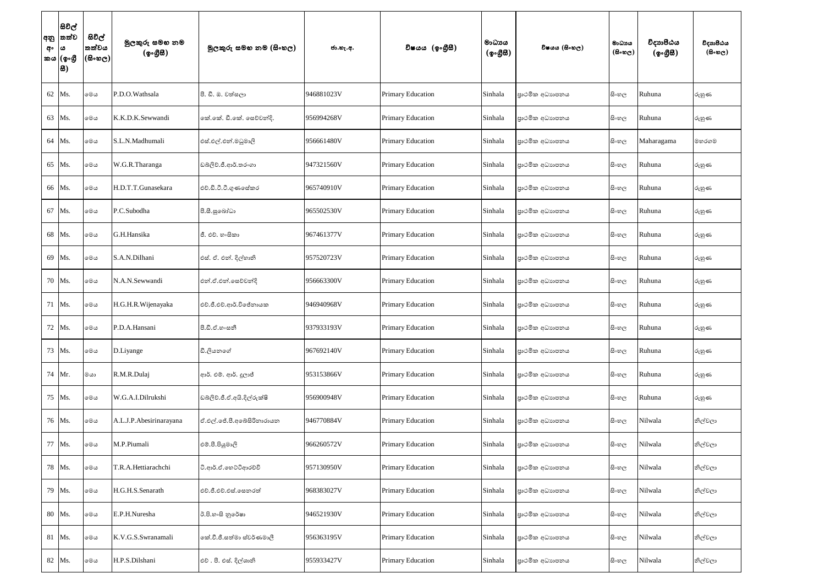| අං | සිවිල්<br> අනු  තත්ව<br>$\omega$<br>කය (ඉංගුී<br> 8) | සිවිල්<br>තත්වය<br>$ \mathfrak{G}\circ\mathfrak{G}\circ $ | මුලකුරු සමහ නම<br>(ඉංගීසී) | මූලකුරු සමහ නම (සිංහල)     | ජා.හැ.අ.   | විෂයය (ඉංගීසී)           | මාධායය<br>$($ ඉංගීසී) | විෂයය (සිංහල)  | මාධායය<br>$(B \circ \omega_C)$ | විදාහපීඨය<br>$(\phi \circ \mathcal{B} \mathcal{B})$ | විදාහපීඨය<br>$($ සිංහල) |
|----|------------------------------------------------------|-----------------------------------------------------------|----------------------------|----------------------------|------------|--------------------------|-----------------------|----------------|--------------------------------|-----------------------------------------------------|-------------------------|
|    | 62 Ms.                                               | මෙය                                                       | P.D.O.Wathsala             | පී. ඩී. ඔ. වත්සලා          | 946881023V | <b>Primary Education</b> | Sinhala               | පාථමික අධාහපනය | සි∘හල                          | Ruhuna                                              | රුහුණ                   |
|    | 63 Ms.                                               | මෙය                                                       | K.K.D.K.Sewwandi           | නේ.කේ. ඩී.කේ. සෙව්වන්දි.   | 956994268V | Primary Education        | Sinhala               | පාථමික අධාහපනය | සි∘හල                          | Ruhuna                                              | රුහුණ                   |
|    | 64 Ms.                                               | මෙය                                                       | S.L.N.Madhumali            | එස්.එල්.එන්.මධුමාලි        | 956661480V | <b>Primary Education</b> | Sinhala               | පාථමික අධාහපනය | සි∘හල                          | Maharagama                                          | මහරගම                   |
|    | 65 Ms.                                               | මෙය                                                       | W.G.R.Tharanga             | ඩබ්ලිව්.ජී.ආර්.තරංගා       | 947321560V | <b>Primary Education</b> | Sinhala               | පාථමික අධාහපනය | සිංහල                          | Ruhuna                                              | රුහුණ                   |
|    | 66 Ms.                                               | මෙය                                                       | H.D.T.T.Gunasekara         | එච්.ඩී.ටී.ටී.ගුණසේකර       | 965740910V | Primary Education        | Sinhala               | පාථමික අධාහපනය | සිංහල                          | Ruhuna                                              | රුහුණ                   |
| 67 | Ms.                                                  | මෙය                                                       | P.C.Subodha                | පී.සී.සුබෝධා               | 965502530V | Primary Education        | Sinhala               | පාථමික අධාහපනය | සි∘හල                          | Ruhuna                                              | රුහුණ                   |
|    | 68 Ms.                                               | මෙය                                                       | G.H.Hansika                | ජී. එච්. හංසිකා            | 967461377V | <b>Primary Education</b> | Sinhala               | පාථමික අධාහපනය | සිංහල                          | Ruhuna                                              | රුහුණ                   |
|    | 69 Ms.                                               | මෙය                                                       | S.A.N.Dilhani              | එස්. ඒ. එන්. දිල්හානි      | 957520723V | Primary Education        | Sinhala               | පාථමික අධාහපනය | සි∘හල                          | Ruhuna                                              | රුහුණ                   |
|    | 70 Ms.                                               | මෙය                                                       | N.A.N.Sewwandi             | එන්.ඒ.එන්.සෙව්වන්දි        | 956663300V | <b>Primary Education</b> | Sinhala               | පාථමික අධාහපනය | සිංහල                          | Ruhuna                                              | රුහුණ                   |
|    | 71 Ms.                                               | මෙය                                                       | H.G.H.R. Wijenayaka        | එච්.ජී.එච්.ආර්.විජේනායක    | 946940968V | Primary Education        | Sinhala               | පාථමික අධාහපනය | සිංහල                          | Ruhuna                                              | රුහුණ                   |
| 72 | Ms.                                                  | මෙය                                                       | P.D.A.Hansani              | පී.ඩී.ඒ.හංසනී              | 937933193V | <b>Primary Education</b> | Sinhala               | පාථමික අධාහපනය | සි∘හල                          | Ruhuna                                              | රුහුණ                   |
|    | 73 Ms.                                               | මෙය                                                       | D.Liyange                  | ඩී.ලියනගේ                  | 967692140V | <b>Primary Education</b> | Sinhala               | පාථමික අධාහපනය | සිංහල                          | Ruhuna                                              | රුහුණ                   |
|    | 74 Mr.                                               | ගය                                                        | R.M.R.Dulaj                | ආර්. එම්. ආර්. දූලාජ්      | 953153866V | <b>Primary Education</b> | Sinhala               | පාථමික අධාහපනය | සිංහල                          | Ruhuna                                              | රුහුණ                   |
|    | 75 Ms.                                               | මෙය                                                       | W.G.A.I.Dilrukshi          | ඩබලිව්.ජී.ඒ.අයි.දිල්රුක්ෂි | 956900948V | Primary Education        | Sinhala               | පාථමික අධාහපනය | සිංහල                          | Ruhuna                                              | රුහුණ                   |
|    | 76 Ms.                                               | මෙය                                                       | A.L.J.P.Abesirinarayana    | ඒ.එල්.ජේ.පී.අබේසිරිනාරායන  | 946770884V | Primary Education        | Sinhala               | පාථමික අධාහපනය | සිංහල                          | Nilwala                                             | නිල්වලා                 |
|    | 77 Ms.                                               | මෙය                                                       | M.P.Piumali                | එම්.පී.පියුමාලි            | 966260572V | Primary Education        | Sinhala               | පාථමික අධාහපනය | සිංහල                          | Nilwala                                             | නිල්වලා                 |
|    | 78 Ms.                                               | මෙය                                                       | T.R.A.Hettiarachchi        | ටි.ආර්.ඒ.හෙට්ටිආරච්චි      | 957130950V | <b>Primary Education</b> | Sinhala               | පාථමික අධාහපනය | සිංහල                          | Nilwala                                             | නිල්වලා                 |
|    | 79 Ms.                                               | මෙය                                                       | H.G.H.S.Senarath           | එච්.ජී.එච්.එස්.සෙනරත්      | 968383027V | <b>Primary Education</b> | Sinhala               | පාථමික අධාහපනය | සිංහල                          | Nilwala                                             | නිල්වලා                 |
|    | 80 Ms.                                               | මෙය                                                       | E.P.H.Nuresha              | ඊ.පි.හංසි නුරේෂා           | 946521930V | Primary Education        | Sinhala               | පාථමික අධාහපනය | සිංහල                          | Nilwala                                             | නිල්වලා                 |
|    | 81 Ms.                                               | මෙය                                                       | K.V.G.S.Swranamali         | කේ.වී.ජී.සත්මා ස්වර්ණමාලී  | 956363195V | Primary Education        | Sinhala               | පාථමික අධාහපනය | සිංහල                          | Nilwala                                             | නිල්වලා                 |
|    | 82 Ms.                                               | මෙය                                                       | H.P.S.Dilshani             | එච් . පී. එස්. දිල්ශානි    | 955933427V | Primary Education        | Sinhala               | පාථමික අධාහපනය | සිංහල                          | Nilwala                                             | නිල්වලා                 |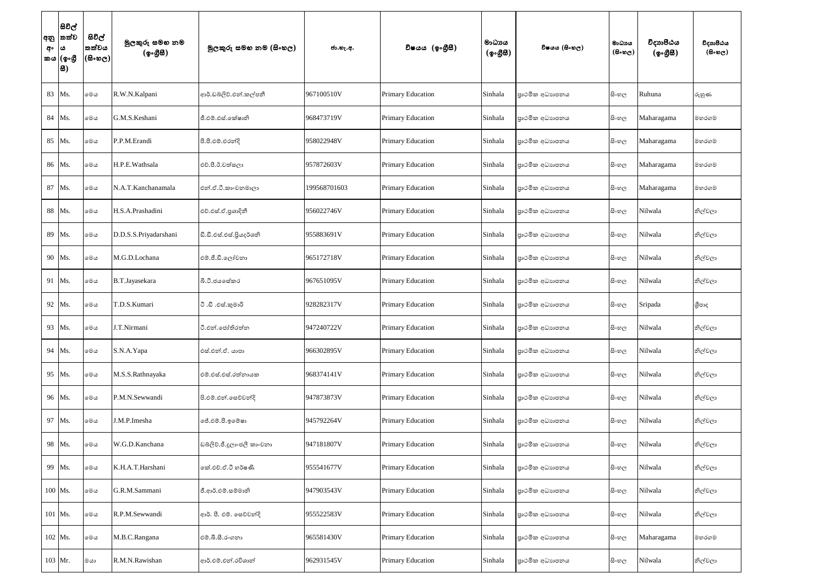| අං | සිවිල්<br> අනු  තත්ව<br>$\pmb{\omega}$<br>කය (ඉංගී<br> 8) | සිවිල්<br>තත්වය<br>$ \mathfrak{G}\circ\mathfrak{G}\circ $ | මුලකුරු සමහ නම<br>(ඉංගීසී) | මූලකුරු සමහ නම (සිංහල)     | ජා.හැ.අ.     | විෂයය (ඉංගීසී)           | මාධායය<br>$({\cal Q} \circ \mathcal{B} \mathcal{B})$ | විෂයය (සිංහල)  | මාධායය<br>$(B \circ \omega_C)$ | විදාහපීඨය<br>$(\circledcirc \circ \circledcirc \circledast)$ | විදාහපීඨය<br>$($ සිංහල) |
|----|-----------------------------------------------------------|-----------------------------------------------------------|----------------------------|----------------------------|--------------|--------------------------|------------------------------------------------------|----------------|--------------------------------|--------------------------------------------------------------|-------------------------|
|    | 83 Ms.                                                    | මෙය                                                       | R.W.N.Kalpani              | ආර්.ඩබ්ලිව්.එන්.කල්පනී     | 967100510V   | Primary Education        | Sinhala                                              | පාථමික අධාහපනය | සිංහල                          | Ruhuna                                                       | රුහුණ                   |
|    | 84 Ms.                                                    | මෙය                                                       | G.M.S.Keshani              | ජී.එම්.එස්.කේෂානි          | 968473719V   | <b>Primary Education</b> | Sinhala                                              | පාථමික අධාහපනය | සිංහල                          | Maharagama                                                   | මහරගම                   |
|    | 85 Ms.                                                    | මෙය                                                       | P.P.M.Erandi               | පී.පී.එම්.එරන්දි           | 958022948V   | <b>Primary Education</b> | Sinhala                                              | පාථමික අධාහපනය | සි∘හල                          | Maharagama                                                   | මහරගම                   |
|    | 86 Ms.                                                    | මෙය                                                       | H.P.E.Wathsala             | එච්.පී.ඊ.වත්සලා            | 957872603V   | <b>Primary Education</b> | Sinhala                                              | පාථමික අධාහපනය | සිංහල                          | Maharagama                                                   | මහරගම                   |
| 87 | Ms.                                                       | මෙය                                                       | N.A.T.Kanchanamala         | එන්.ඒ.ටී.කාංචනමාලා         | 199568701603 | <b>Primary Education</b> | Sinhala                                              | පාථමික අධාහපනය | සි∘හල                          | Maharagama                                                   | මහරගම                   |
|    | 88 Ms.                                                    | මෙය                                                       | H.S.A.Prashadini           | එච්.එස්.ඒ.පුශාදිනී         | 956022746V   | <b>Primary Education</b> | Sinhala                                              | පාථමික අධාහපනය | සි∘හල                          | Nilwala                                                      | නිල්වලා                 |
|    | 89 Ms.                                                    | මෙය                                                       | D.D.S.S.Priyadarshani      | ඩී.ඩී.එස්.එස්.පියදර්ශනි    | 955883691V   | <b>Primary Education</b> | Sinhala                                              | පාථමික අධාහපනය | සි∘හල                          | Nilwala                                                      | නිල්වලා                 |
|    | 90 Ms.                                                    | මෙය                                                       | M.G.D.Lochana              | එම්.ජී.ඩී.ලෝචනා            | 965172718V   | <b>Primary Education</b> | Sinhala                                              | පාථමික අධාහපනය | සි∘හල                          | Nilwala                                                      | නිල්වලා                 |
|    | 91 Ms.                                                    | මෙය                                                       | B.T.Jayasekara             | බී.ටී.ජයසේකර               | 967651095V   | <b>Primary Education</b> | Sinhala                                              | පාථමික අධාහපනය | සි∘හල                          | Nilwala                                                      | නිල්වලා                 |
|    | 92 Ms.                                                    | මෙය                                                       | T.D.S.Kumari               | ටී .ඩී .එස්.කුමාරි         | 928282317V   | Primary Education        | Sinhala                                              | පාථමික අධාහපනය | සිංහල                          | Sripada                                                      | ශීපාද                   |
| 93 | Ms.                                                       | මෙය                                                       | J.T.Nirmani                | ටී.එන්.ජෝතිරත්න            | 947240722V   | <b>Primary Education</b> | Sinhala                                              | පාථමික අධාහපනය | සි∘හල                          | Nilwala                                                      | නිල්වලා                 |
|    | 94 Ms.                                                    | මෙය                                                       | S.N.A.Yapa                 | එස්.එන්.ඒ. යාපා            | 966302895V   | <b>Primary Education</b> | Sinhala                                              | පාථමික අධාහපනය | සි∘හල                          | Nilwala                                                      | නිල්වලා                 |
|    | 95 Ms.                                                    | මෙය                                                       | M.S.S.Rathnayaka           | එම්.එස්.එස්.රත්නායක        | 968374141V   | Primary Education        | Sinhala                                              | පාථමික අධාහපනය | සි∘හල                          | Nilwala                                                      | නිල්වලා                 |
|    | 96 Ms.                                                    | මෙය                                                       | P.M.N.Sewwandi             | පි.එම්.එන්.සෙව්වන්දි       | 947873873V   | Primary Education        | Sinhala                                              | පාථමික අධාහපනය | සි∘හල                          | Nilwala                                                      | නිල්වලා                 |
|    | 97 Ms.                                                    | මෙය                                                       | J.M.P.Imesha               | ලජ්.එම්.පී.ඉමේෂා           | 945792264V   | Primary Education        | Sinhala                                              | පාථමික අධාහපනය | සි∘හල                          | Nilwala                                                      | නිල්වලා                 |
|    | 98 Ms.                                                    | මෙය                                                       | W.G.D.Kanchana             | ඩබ්ලිව්.ජී.දූලාංජලී කාංචනා | 947181807V   | <b>Primary Education</b> | Sinhala                                              | පාථමික අධාහපනය | සි∘හල                          | Nilwala                                                      | නිල්වලා                 |
|    | 99 Ms.                                                    | මෙය                                                       | K.H.A.T.Harshani           | කේ.එච්.ඒ.ටී හර්ෂණී         | 955541677V   | <b>Primary Education</b> | Sinhala                                              | පාථමික අධාහපනය | සි∘හල                          | Nilwala                                                      | නිල්වලා                 |
|    | 100 Ms.                                                   | මෙය                                                       | G.R.M.Sammani              | ජී.ආර්.එම්.සම්මානි         | 947903543V   | Primary Education        | Sinhala                                              | පාථමික අධාහපනය | සි∘හල                          | Nilwala                                                      | නිල්වලා                 |
|    | 101 Ms.                                                   | මෙය                                                       | R.P.M.Sewwandi             | ආර්. පී. එම්. සෙව්වන්දි    | 955522583V   | Primary Education        | Sinhala                                              | පාථමික අධාහපනය | සි∘හල                          | Nilwala                                                      | නිල්වලා                 |
|    | 102 Ms.                                                   | මෙය                                                       | M.B.C.Rangana              | එම්.බී.සී.රංගනා            | 965581430V   | Primary Education        | Sinhala                                              | පාථමික අධාහපනය | සි∘හල                          | Maharagama                                                   | මහරගම                   |
|    | 103 Mr.                                                   | මයා                                                       | R.M.N.Rawishan             | ආර්.එම්.එන්.රවිශාන්        | 962931545V   | Primary Education        | Sinhala                                              | පාථමික අධාහපනය | සි∘හල                          | Nilwala                                                      | නිල්වලා                 |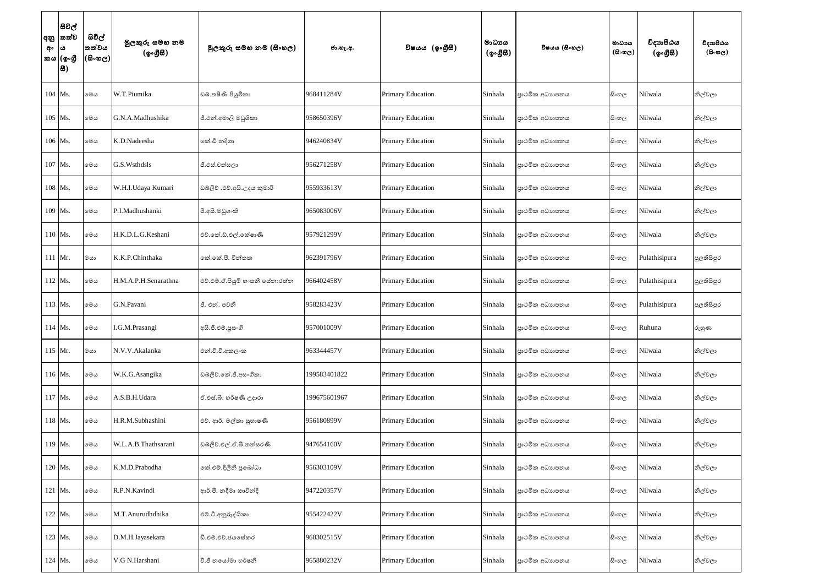| අං        | සිවිල්<br> අනු  තත්ව<br>ය<br>කය (ඉංගුී<br>.සී | සිවිල්<br>තත්වය<br>$(\mathbb{S}\otimes\mathbb{S})$ | මුලකුරු සමහ නම<br>(ඉංගීසී) | මූලකුරු සමහ නම (සිංහල)          | ජා.හැ.අ.     | විෂයය (ඉංගුිසි)          | මාධායය<br>(ඉංගීසී) | විෂයය (සිංහල)  | මාධායය<br>$(B \circ \omega_C)$ | විදාහපීඨය<br>(ඉංගීසී) | විදාහපීඨය<br>$($ සිංහල) |
|-----------|-----------------------------------------------|----------------------------------------------------|----------------------------|---------------------------------|--------------|--------------------------|--------------------|----------------|--------------------------------|-----------------------|-------------------------|
|           | 104 Ms.                                       | මෙය                                                | W.T.Piumika                | ඩබ්.තෂිණි පියුමිකා              | 968411284V   | <b>Primary Education</b> | Sinhala            | පාථමික අධාහපනය | සිංහල                          | Nilwala               | නිල්වලා                 |
|           | 105 Ms.                                       | මෙය                                                | G.N.A.Madhushika           | ජී.එන්.අමාලි මධුශිකා            | 958650396V   | <b>Primary Education</b> | Sinhala            | පාථමික අධාහපනය | සි∘හල                          | Nilwala               | නිල්වලා                 |
| 106 Ms.   |                                               | මෙය                                                | K.D.Nadeesha               | කේ.ඩී නදීශා                     | 946240834V   | Primary Education        | Sinhala            | පාථමික අධාහපනය | සි∘හල                          | Nilwala               | නිල්වලා                 |
|           | 107 Ms.                                       | මෙය                                                | G.S.Wsthdsls               | ජී.එස්.වත්සලා                   | 956271258V   | <b>Primary Education</b> | Sinhala            | පාථමික අධාහපනය | සි∘හල                          | Nilwala               | නිල්වලා                 |
|           | 108 Ms.                                       | මෙය                                                | W.H.I.Udaya Kumari         | ඩබලිව් .එච්.අයි.උදය කුමාරි      | 955933613V   | Primary Education        | Sinhala            | පාථමික අධාහපනය | සිංහල                          | Nilwala               | නිල්වලා                 |
|           | 109 Ms.                                       | මෙය                                                | P.I.Madhushanki            | පී.අයි.මධුශංකි                  | 965083006V   | <b>Primary Education</b> | Sinhala            | පාථමික අධාහපනය | සිංහල                          | Nilwala               | නිල්වලා                 |
| 110 Ms.   |                                               | මෙය                                                | H.K.D.L.G.Keshani          | එච්.කේ.ඩ්.එල්.කේෂාණි            | 957921299V   | Primary Education        | Sinhala            | පාථමික අධාහපනය | සි∘හල                          | Nilwala               | නිල්වලා                 |
| $111$ Mr. |                                               | මයා                                                | K.K.P.Chinthaka            | කේ.කේ.පී. චින්තක                | 962391796V   | <b>Primary Education</b> | Sinhala            | පාථමික අධාහපනය | සි∘හල                          | Pulathisipura         | පුලතිසිපුර              |
| $112$ Ms. |                                               | මෙය                                                | H.M.A.P.H.Senarathna       | එච්.එම්.ඒ.පියුමි හංසනී සේනාරත්න | 966402458V   | <b>Primary Education</b> | Sinhala            | පාථමික අධාහපනය | සි∘හල                          | Pulathisipura         | පුලතිසිපුර              |
| 113 Ms.   |                                               | මෙය                                                | G.N.Pavani                 | ජී. එන්. පවතී                   | 958283423V   | <b>Primary Education</b> | Sinhala            | පාථමික අධාහපනය | සිංහල                          | Pulathisipura         | පුලතිසිපුර              |
|           | 114 Ms.                                       | මෙය                                                | I.G.M.Prasangi             | අයි.ජී.එම්.පුසංගි               | 957001009V   | <b>Primary Education</b> | Sinhala            | පාථමික අධාහපනය | සිංහල                          | Ruhuna                | රුහුණ                   |
| 115 Mr.   |                                               | මයා                                                | N.V.V.Akalanka             | එන්.වී.වී.අකලංක                 | 963344457V   | Primary Education        | Sinhala            | පාථමික අධාහපනය | සි∘හල                          | Nilwala               | නිල්වලා                 |
| 116 Ms.   |                                               | මෙය                                                | W.K.G.Asangika             | ඩබ්ලිව්.කේ.ජී.අසංගිකා           | 199583401822 | Primary Education        | Sinhala            | පාථමික අධාහපනය | සි∘හල                          | Nilwala               | නිල්වලා                 |
| 117 Ms.   |                                               | මෙය                                                | A.S.B.H.Udara              | ඒ.එස්.බී. හර්ෂණි උදාරා          | 199675601967 | Primary Education        | Sinhala            | පාථමික අධාහපනය | සි∘හල                          | Nilwala               | නිල්වලා                 |
|           | 118 Ms.                                       | මෙය                                                | H.R.M.Subhashini           | එච්. ආර්. මල්කා සුභාෂණි         | 956180899V   | Primary Education        | Sinhala            | පාථමික අධාහපනය | සි∘හල                          | Nilwala               | නිල්වලා                 |
|           | 119 Ms.                                       | මෙය                                                | W.L.A.B.Thathsarani        | ඩබ්ලිව්.එල්.ඒ.බී.තත්සරණි        | 947654160V   | <b>Primary Education</b> | Sinhala            | පාථමික අධාහපනය | සි∘හල                          | Nilwala               | නිල්වලා                 |
|           | 120 Ms.                                       | මෙය                                                | K.M.D.Prabodha             | කේ.එම්.දිලිනි පුබෝධා            | 956303109V   | Primary Education        | Sinhala            | පාථමික අධාහපනය | සි∘හල                          | Nilwala               | නිල්වලා                 |
|           | 121 Ms.                                       | මෙය                                                | R.P.N.Kavindi              | ආර්.පී. නදීමා කාවින්දි          | 947220357V   | <b>Primary Education</b> | Sinhala            | පාථමික අධාහපනය | සි∘හල                          | Nilwala               | නිල්වලා                 |
|           | 122 Ms.                                       | මෙය                                                | M.T.Anurudhdhika           | එම්.ටී.අනුරුද්ධිකා              | 955422422V   | Primary Education        | Sinhala            | පාථමික අධාහපනය | සි∘හල                          | Nilwala               | නිල්වලා                 |
|           | 123 Ms.                                       | මෙය                                                | D.M.H.Jayasekara           | ඩී.එම්.එච්.ජයසේකර               | 968302515V   | Primary Education        | Sinhala            | පාථමික අධාහපනය | සි∘හල                          | Nilwala               | නිල්වලා                 |
|           | 124 Ms.                                       | මෙය                                                | V.G N.Harshani             | වී.ජී නයෝමා හර්ෂනී              | 965880232V   | <b>Primary Education</b> | Sinhala            | පාථමික අධාහපනය | සි∘හල                          | Nilwala               | නිල්වලා                 |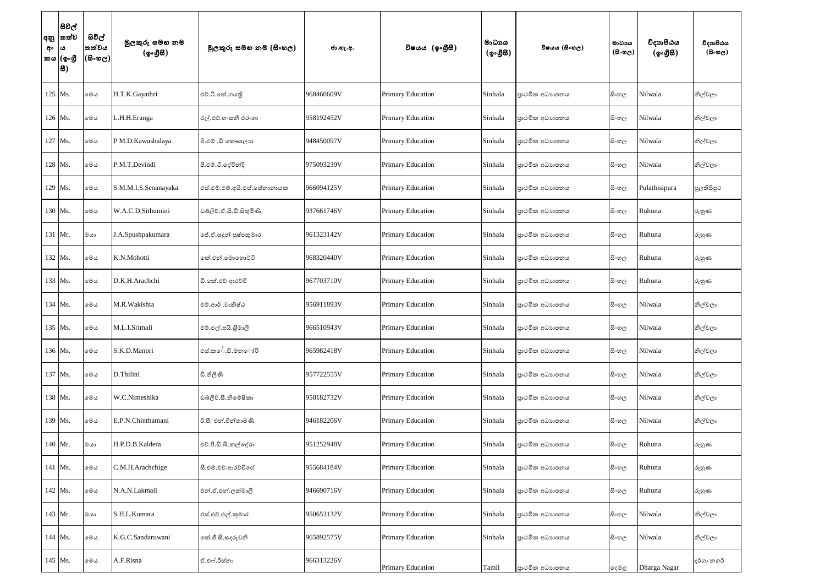| අං      | සිවිල්<br> අනු  තත්ව<br>ය<br>කය (ඉංගුී<br>8 | සිවිල්<br>තත්වය<br>(600) | මුලකුරු සමහ නම<br>(ඉංගීසී) | මූලකුරු සමහ නම (සිංහල)       | ජා.හැ.අ.   | විෂයය (ඉංගීසී)           | මාධායය<br>$({\cal Q} \circ \mathcal{B} \mathcal{B})$ | විෂයය (සිංහල)  | මාධාය<br>$(B \circ \mathfrak{v}_C)$ | විදාහපීඨය<br>$(\circledcirc \circ \circledcirc \circledast)$ | විදාහපීඨය<br>$($ සිංහල) |
|---------|---------------------------------------------|--------------------------|----------------------------|------------------------------|------------|--------------------------|------------------------------------------------------|----------------|-------------------------------------|--------------------------------------------------------------|-------------------------|
| 125 Ms. |                                             | මෙය                      | H.T.K.Gayathri             | එච්.ටී.කේ.ගයති               | 968460609V | Primary Education        | Sinhala                                              | පාථමික අධාහපනය | සිංහල                               | Nilwala                                                      | නිල්වලා                 |
| 126 Ms. |                                             | මෙය                      | L.H.H.Eranga               | එල්.එච්.හංසනී එරංගා          | 958192452V | Primary Education        | Sinhala                                              | පාථමික අධාහපනය | සි∘හල                               | Nilwala                                                      | නිල්වලා                 |
| 127 Ms. |                                             | මෙය                      | P.M.D.Kawushalaya          | පි.එම් .ඩි කෞශලාභ            | 948450097V | <b>Primary Education</b> | Sinhala                                              | පාථමික අධාහපනය | සිංහල                               | Nilwala                                                      | නිල්වලා                 |
| 128 Ms. |                                             | මෙය                      | P.M.T.Devindi              | පී.එම්.ටී.දේවින්දි           | 975093239V | <b>Primary Education</b> | Sinhala                                              | පාථමික අධාහපනය | සිංහල                               | Nilwala                                                      | නිල්වලා                 |
| 129 Ms. |                                             | මෙය                      | S.M.M.I.S.Senanayaka       | එස්.එම්.එම්.අයි.එස්.සේනානායක | 966094125V | Primary Education        | Sinhala                                              | පාථමික අධාහපනය | සි∘හල                               | Pulathisipura                                                | පුලතිසිපුර              |
| 130 Ms. |                                             | මෙය                      | W.A.C.D.Sithumini          | ඩබ්ලිව්.ඒ.සී.ඩී.සිතුමිණි     | 937661746V | Primary Education        | Sinhala                                              | පාථමික අධාහපනය | සිංහල                               | Ruhuna                                                       | රුහුණ                   |
| 131 Mr. |                                             | මයා                      | J.A.Spushpakumara          | ේ.ඒ.සදූන් පුෂ්පකුමාර         | 961323142V | <b>Primary Education</b> | Sinhala                                              | පාථමික අධාහපනය | සි∘හල                               | Ruhuna                                                       | රුහුණ                   |
| 132 Ms. |                                             | මෙය                      | K.N.Mohotti                | කේ.එන්.මොහොට්ටි              | 968320440V | Primary Education        | Sinhala                                              | පාථමික අධාහපනය | සි∘හල                               | Ruhuna                                                       | රුහුණ                   |
| 133 Ms. |                                             | මෙය                      | D.K.H.Arachchi             | ඩී.කේ.එච් ආරච්චි             | 967703710V | <b>Primary Education</b> | Sinhala                                              | පාථමික අධාහපනය | සි∘හල                               | Ruhuna                                                       | රුහුණ                   |
| 134 Ms. |                                             | මෙය                      | M.R. Wakishta              | එම්.ආර් .වාකිෂ්ඨ             | 956911893V | Primary Education        | Sinhala                                              | පාථමික අධාහපනය | සිංහල                               | Nilwala                                                      | නිල්වලා                 |
| 135 Ms. |                                             | මෙය                      | M.L.I.Srimali              | එම්.එල්.අයි.ශීමාලි           | 966510943V | <b>Primary Education</b> | Sinhala                                              | පාථමික අධාහපනය | සි∘හල                               | Nilwala                                                      | නිල්වලා                 |
| 136 Ms. |                                             | මෙය                      | S.K.D.Manori               | ්එස්.ක <b>ේ.ඩි.මන</b> ෝරි    | 965982418V | <b>Primary Education</b> | Sinhala                                              | පාථමික අධාහපනය | සි∘හල                               | Nilwala                                                      | නිල්වලා                 |
| 137 Ms. |                                             | මෙය                      | D.Thilini                  | ඩී.තිලිණි                    | 957722555V | <b>Primary Education</b> | Sinhala                                              | පාථමික අධාහපනය | සි∘හල                               | Nilwala                                                      | නිල්වලා                 |
| 138 Ms. |                                             | මෙය                      | W.C.Nimeshika              | ඩබලිව්.සී.නිමේෂිකා           | 958182732V | Primary Education        | Sinhala                                              | පාථමික අධාහපනය | සි∘හල                               | Nilwala                                                      | නිල්වලා                 |
| 139 Ms. |                                             | මෙය                      | E.P.N.Chinthamani          | ඊ.පී. එන්.චින්තාමණි          | 946182206V | Primary Education        | Sinhala                                              | පාථමික අධාහපනය | සි∘හල                               | Nilwala                                                      | නිල්වලා                 |
| 140 Mr. |                                             | මයා                      | H.P.D.B.Kaldera            | එච්.පී.ඩී.බී.කල්දේරා         | 951252948V | Primary Education        | Sinhala                                              | පාථමික අධාහපනය | සි∘හල                               | Ruhuna                                                       | රුහුණ                   |
| 141 Ms. |                                             | මෙය                      | C.M.H.Arachchige           | සී.එම්.එච්.ආරච්චිගේ          | 955684184V | <b>Primary Education</b> | Sinhala                                              | පාථමික අධාහපනය | සි∘හල                               | Ruhuna                                                       | රුහුණ                   |
| 142 Ms. |                                             | මෙය                      | N.A.N.Lakmali              | එන්.ඒ.එන්.ලක්මාලී            | 946690716V | <b>Primary Education</b> | Sinhala                                              | පාථමික අධාහපනය | සි∘හල                               | Ruhuna                                                       | රුහුණ                   |
| 143 Mr. |                                             | මයා                      | S.H.L.Kumara               | එස්.එච්.එල්.කුමාර            | 950653132V | Primary Education        | Sinhala                                              | පාථමික අධාහපනය | සි∘හල                               | Nilwala                                                      | නිල්වලා                 |
| 144 Ms. |                                             | මෙය                      | K.G.C.Sandaruwani          | කේ.ජී.සී.සදරුවනි             | 965892575V | Primary Education        | Sinhala                                              | පාථමික අධාහපනය | සිංහල                               | Nilwala                                                      | නිල්වලා                 |
| 145 Ms. |                                             | මෙය                      | A.F.Risna                  | ඒ.එෆ්.රිස්තා                 | 966313226V | Primary Education        | Tamil                                                | පාථමික අධාහපනය | දෙමළ                                | Dharga Nagar                                                 | දර්ගා නගර්              |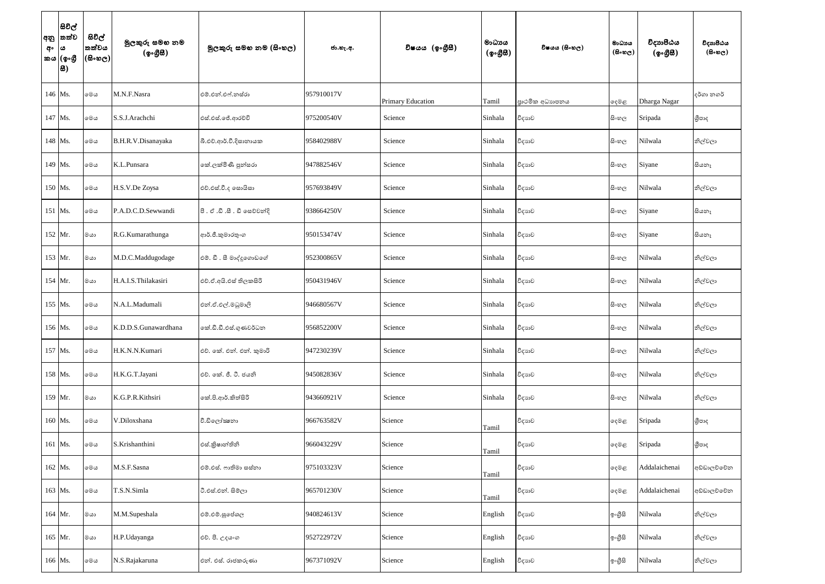| අ <b>ං</b>  ය | සිවිල්<br> අනු  තත්ව<br>කය  (ඉංගී<br> 8) | සිවිල්<br>තත්වය<br> (සිංහල) | මුලකුරු සමහ නම<br>(ඉංගීසී) | මූලකුරු සමහ නම (සිංහල)       | ජා.හැ.අ.   | විෂයය (ඉංගුීසි)   | මාධායය<br>$({\cal Q} \circ \mathcal{B} \mathcal{B})$ | විෂයය (සිංහල)  | මාධායය<br>$(B \circ \circledcirc_C)$ | විදාහපීඨය<br>(ඉංගීසී) | විදාහපීඨය<br>$(B \circ \mathfrak{v}_C)$ |
|---------------|------------------------------------------|-----------------------------|----------------------------|------------------------------|------------|-------------------|------------------------------------------------------|----------------|--------------------------------------|-----------------------|-----------------------------------------|
|               | 146 Ms.                                  | මෙය                         | M.N.F.Nasra                | එම්.එන්.එෆ්.නස්රා            | 957910017V | Primary Education | Tamil                                                | පාථමික අධාහපනය | දෙමළ                                 | Dharga Nagar          | දර්ගා නගර්                              |
|               | 147 Ms.                                  | මෙය                         | S.S.J.Arachchi             | එස්.එස්.ජේ.ආරච්චි            | 975200540V | Science           | Sinhala                                              | විදාහව         | සිංහල                                | Sripada               | ශීපාද                                   |
|               | 148 Ms.                                  | මෙය                         | B.H.R.V.Disanayaka         | බී.එච්.ආර්.වී.දිසානායක       | 958402988V | Science           | Sinhala                                              | විදාහව         | සි∘හල                                | Nilwala               | නිල්වලා                                 |
|               | 149 Ms.                                  | මෙය                         | K.L.Punsara                | කේ.ලක්මිණී පුන්සරා           | 947882546V | Science           | Sinhala                                              | විදාහව         | සි∘හල                                | Siyane                | සියනෑ                                   |
|               | 150 Ms.                                  | මෙය                         | H.S.V.De Zoysa             | එච්.එස්.වී.ද සොයිසා          | 957693849V | Science           | Sinhala                                              | විදාහව         | සි∘හල                                | Nilwala               | නිල්වලා                                 |
|               | 151 Ms.                                  | මෙය                         | P.A.D.C.D.Sewwandi         | පී. ඒ .ඩී .සී . ඩී සෙව්වන්දි | 938664250V | Science           | Sinhala                                              | විදාහව         | සි∘හල                                | Siyane                | සියනෑ                                   |
|               | $152$ Mr.                                | ගය                          | R.G.Kumarathunga           | ආර්.ජී.කුමාරතුංග             | 950153474V | Science           | Sinhala                                              | විදාහව         | සි∘හල                                | Siyane                | සියතෑ                                   |
|               | 153 Mr.                                  | ගය                          | M.D.C.Maddugodage          | එම්. ඩී. සී මාද්දුගොඩගේ      | 952300865V | Science           | Sinhala                                              | විදාහව         | සි∘හල                                | Nilwala               | නිල්වලා                                 |
|               | 154 Mr.                                  | ගය                          | H.A.I.S.Thilakasiri        | එච්.ඒ.අයි.එස් තිලකසිරි       | 950431946V | Science           | Sinhala                                              | විදාහව         | සි∘හල                                | Nilwala               | නිල්වලා                                 |
|               | 155 Ms.                                  | මෙය                         | N.A.L.Madumali             | එන්.ඒ.එල්.මධුමාලි            | 946680567V | Science           | Sinhala                                              | විදාහව         | සි∘හල                                | Nilwala               | නිල්වලා                                 |
|               | 156 Ms.                                  | මෙය                         | K.D.D.S.Gunawardhana       | කේ.ඩී.ඩී.එස්.ගුණවර්ධන        | 956852200V | Science           | Sinhala                                              | විදාහව         | සි∘හල                                | Nilwala               | නිල්වලා                                 |
|               | 157 Ms.                                  | මෙය                         | H.K.N.N.Kumari             | එච්. කේ. එන්. එන්. කුමාරි    | 947230239V | Science           | Sinhala                                              | විදාහව         | සි∘හල                                | Nilwala               | නිල්වලා                                 |
|               | 158 Ms.                                  | මෙය                         | H.K.G.T.Jayani             | එච්. කේ. ජී. ටී. ජයනි        | 945082836V | Science           | Sinhala                                              | විදාහව         | සි∘හල                                | Nilwala               | නිල්වලා                                 |
|               | 159 Mr.                                  | මයා                         | K.G.P.R.Kithsiri           | කේ.පි.ආර්.කිත්සිරි           | 943660921V | Science           | Sinhala                                              | විදාහව         | සි∘හල                                | Nilwala               | නිල්වලා                                 |
|               | 160 Ms.                                  | මෙය                         | V.Diloxshana               | වී.ඩිලෝකුනා                  | 966763582V | Science           | Tamil                                                | විදාහව         | දෙමළ                                 | Sripada               | ශීපාද                                   |
|               | 161 Ms.                                  | මෙය                         | S.Krishanthini             | එස්.කුිෂාන්තිනි              | 966043229V | Science           | Tamil                                                | විදාහව         | දෙමළ                                 | Sripada               | ශීපාද                                   |
|               | 162 Ms.                                  | මෙය                         | M.S.F.Sasna                | එම්.එස්. ෆාතිමා සස්තා        | 975103323V | Science           | Tamil                                                | විදාහව         | දෙමළ                                 | Addalaichenai         | අඩ්ඩාලච්චේන                             |
|               | 163 Ms.                                  | මෙය                         | T.S.N.Simla                | ටී.එස්.එන්. සිම්ලා           | 965701230V | Science           | Tamil                                                | විදාහව         | දෙමළ                                 | Addalaichenai         | අඩ්ඩාලච්චේන                             |
|               | 164 Mr.                                  | මයා                         | M.M.Supeshala              | එම්.එම්.සුපේශල               | 940824613V | Science           | English                                              | විදාහව         | ඉංගීසි                               | Nilwala               | නිල්වලා                                 |
|               | 165 Mr.                                  | $\cos$                      | H.P.Udayanga               | එච්. පී. උදයංග               | 952722972V | Science           | English                                              | විදාහව         | ඉංගීසි                               | Nilwala               | නිල්වලා                                 |
|               | 166 Ms.                                  | මෙය                         | N.S.Rajakaruna             | එන්. එස්. රාජකරුණා           | 967371092V | Science           | English                                              | විදාහව         | ඉංගීසි                               | Nilwala               | නිල්වලා                                 |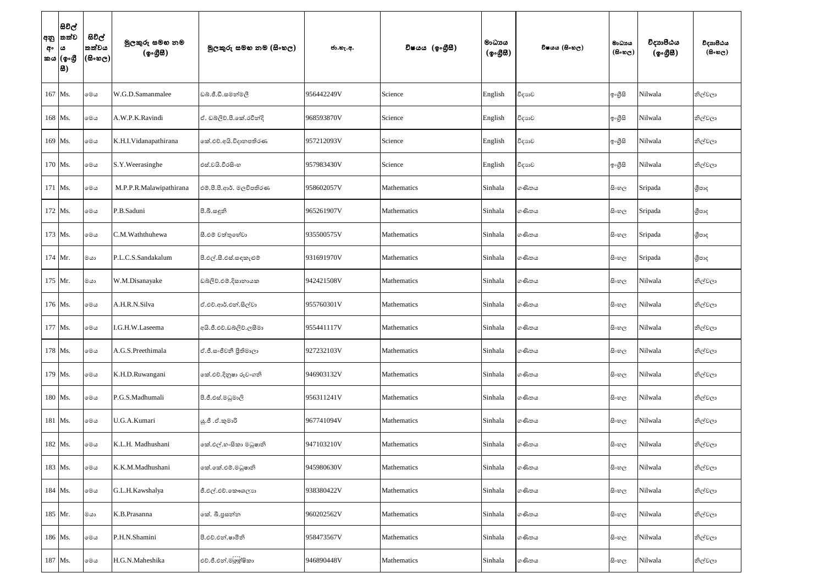| අං | සිවිල්<br> අනු  තත්ව<br>ω<br>කය  (ඉංගී<br> 8) | සිවිල්<br>තත්වය<br>$ \mathfrak{G}\circ\mathfrak{G}\circ $ | මුලකුරු සමහ නම<br>(ඉංගීසී) | මූලකුරු සමහ නම (සිංහල)   | ජා.හැ.අ.   | විෂයය (ඉංගීසී) | මාධායය<br>$({\cal Q} \circ {\cal GB})$ | විෂයය (සිංහල) | මාධාය<br>$(B \circ \mathfrak{v}_C)$ | විදාහපීඨය<br>$(\phi \circ \mathcal{B} \mathcal{B})$ | විදාහපීඨය<br>$(B \circ \mathfrak{v}_C)$ |
|----|-----------------------------------------------|-----------------------------------------------------------|----------------------------|--------------------------|------------|----------------|----------------------------------------|---------------|-------------------------------------|-----------------------------------------------------|-----------------------------------------|
|    | 167 Ms.                                       | මෙය                                                       | W.G.D.Samanmalee           | ඩබ්.ජී.ඩී.සමන්මලී        | 956442249V | Science        | English                                | විදාහව        | ඉංගුිසි                             | Nilwala                                             | නිල්වලා                                 |
|    | 168 Ms.                                       | මෙය                                                       | A.W.P.K.Ravindi            | ඒ. ඩබ්ලිව්.පී.කේ.රවීන්දි | 968593870V | Science        | English                                | විදාහව        | ඉංගීසි                              | Nilwala                                             | නිල්වලා                                 |
|    | 169 Ms.                                       | මෙය                                                       | K.H.I.Vidanapathirana      | කේ.එච්.අයි.විදානපතිරණ    | 957212093V | Science        | English                                | විදාහව        | ඉංගුිසි                             | Nilwala                                             | නිල්වලා                                 |
|    | 170 Ms.                                       | මෙය                                                       | S.Y. Weerasinghe           | එස්.වයි.වීරසිංහ          | 957983430V | Science        | English                                | විදාහව        | ඉංගීසි                              | Nilwala                                             | නිල්වලා                                 |
|    | 171 Ms.                                       | මෙය                                                       | M.P.P.R.Malawipathirana    | එම්.පී.පී.ආර්. මලවිපතිරණ | 958602057V | Mathematics    | Sinhala                                | ගණිතය         | සි∘හල                               | Sripada                                             | ශීපාද                                   |
|    | 172 Ms.                                       | මෙය                                                       | P.B.Saduni                 | පී.බී.සඳුනි              | 965261907V | Mathematics    | Sinhala                                | ගණිතය         | සිංහල                               | Sripada                                             | ශීපාද                                   |
|    | 173 Ms.                                       | මෙය                                                       | C.M.Waththuhewa            | සී.එම් වත්තුහේවා         | 935500575V | Mathematics    | Sinhala                                | ගණිතය         | සිංහල                               | Sripada                                             | ශීපාද                                   |
|    | 174 Mr.                                       | ගය                                                        | P.L.C.S.Sandakalum         | පී.එල්.සී.එස්.සඳකැළුම්   | 931691970V | Mathematics    | Sinhala                                | ගණිතය         | සිංහල                               | Sripada                                             | ශීපාද                                   |
|    | 175 Mr.                                       | මයා                                                       | W.M.Disanayake             | ඩබ්ලිව්.එම්.දිසානායක     | 942421508V | Mathematics    | Sinhala                                | ගණිතය         | සි∘හල                               | Nilwala                                             | නිල්වලා                                 |
|    | 176 Ms.                                       | මෙය                                                       | A.H.R.N.Silva              | ඒ.එච්.ආර්.එන්.සිල්වා     | 955760301V | Mathematics    | Sinhala                                | ගණිතය         | සි∘හල                               | Nilwala                                             | නිල්වලා                                 |
|    | 177 Ms.                                       | මෙය                                                       | I.G.H.W.Laseema            | අයි.ජී.එච්.ඩබ්ලිව්.ලසීමා | 955441117V | Mathematics    | Sinhala                                | ගණිතය         | සි∘හල                               | Nilwala                                             | නිල්වලා                                 |
|    | 178 Ms.                                       | මෙය                                                       | A.G.S.Preethimala          | ඒ.ජී.සංජීවනී පිතිමාලා    | 927232103V | Mathematics    | Sinhala                                | ගණිතය         | සි∘හල                               | Nilwala                                             | නිල්වලා                                 |
|    | 179 Ms.                                       | මෙය                                                       | K.H.D.Ruwangani            | කේ.එච්.දිනුෂා රුවංගනි    | 946903132V | Mathematics    | Sinhala                                | ගණිතය         | සි∘හල                               | Nilwala                                             | නිල්වලා                                 |
|    | 180 Ms.                                       | මෙය                                                       | P.G.S.Madhumali            | පී.ජී.එස්.මධුමාලි        | 956311241V | Mathematics    | Sinhala                                | ගණිතය         | සි∘හල                               | Nilwala                                             | නිල්වලා                                 |
|    | 181 Ms.                                       | මෙය                                                       | U.G.A.Kumari               | යූ.ජී .ඒ.කුමාරි          | 967741094V | Mathematics    | Sinhala                                | ගණිතය         | සි∘හල                               | Nilwala                                             | නිල්වලා                                 |
|    | 182 Ms.                                       | මෙය                                                       | K.L.H. Madhushani          | ංක්.එල්.හ∘සිකා මධුෂානි   | 947103210V | Mathematics    | Sinhala                                | ගණිතය         | සිංහල                               | Nilwala                                             | නිල්වලා                                 |
|    | 183 Ms.                                       | මෙය                                                       | K.K.M.Madhushani           | කේ.කේ.එම්.මධුෂානි        | 945980630V | Mathematics    | Sinhala                                | ගණිතය         | සි∘හල                               | Nilwala                                             | නිල්වලා                                 |
|    | 184 Ms.                                       | මෙය                                                       | G.L.H.Kawshalya            | ජී.එල්.එච්.කෞශලාන        | 938380422V | Mathematics    | Sinhala                                | ගණිතය         | සි∘හල                               | Nilwala                                             | නිල්වලා                                 |
|    | 185 Mr.                                       | මයා                                                       | K.B.Prasanna               | කේ. බී.පුසන්න            | 960202562V | Mathematics    | Sinhala                                | ගණිතය         | සි∘හල                               | Nilwala                                             | නිල්වලා                                 |
|    | 186 Ms.                                       | මෙය                                                       | P.H.N.Shamini              | පී.එච්.එන්.ෂාමිනි        | 958473567V | Mathematics    | Sinhala                                | ගණිතය         | සි∘හල                               | Nilwala                                             | නිල්වලා                                 |
|    | 187 Ms.                                       | මෙය                                                       | H.G.N.Maheshika            | එච්.ජී.එන්.මලඹුෂිකා      | 946890448V | Mathematics    | Sinhala                                | ගණිතය         | සි∘හල                               | Nilwala                                             | නිල්වලා                                 |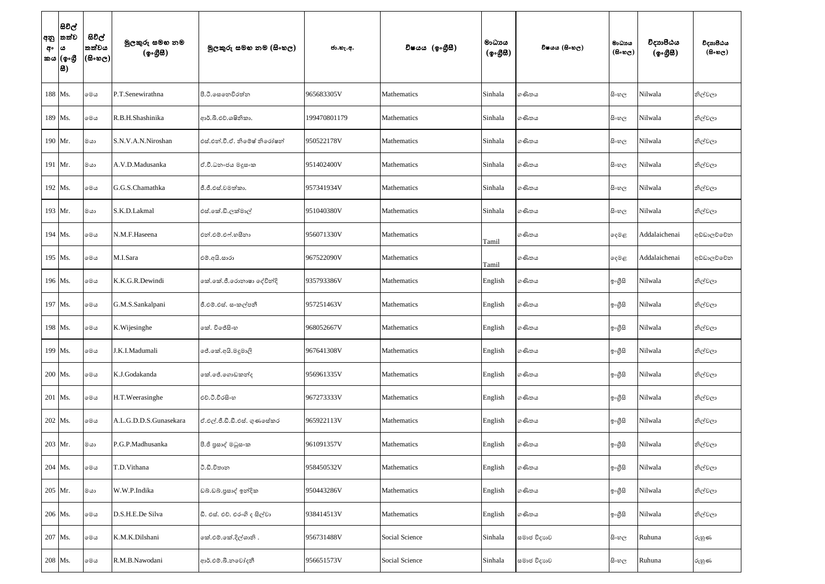| අනු<br>අං | සිවිල්<br> තත්ව<br>$\boldsymbol{\omega}$<br> කය (ඉංගීු<br> 8) | සිවිල්<br>තත්වය<br>$(\mathbb{S}\circ\mathfrak{v})$ | මුලකුරු සමහ නම<br>(ඉංගීසී) | මූලකුරු සමහ නම (සිංහල)       | ජා.හැ.අ.     | විෂයය (ඉංගීුසී) | මාධායය<br>$($ ඉංගීසී) | විෂයය (සිංහල) | මාධායය<br>$($ සිංහල $)$ | විදාහපීඨය<br>$(\phi \circ \mathcal{B} \mathcal{B})$ | විදාහපීඨය<br>$($ සිංහල) |
|-----------|---------------------------------------------------------------|----------------------------------------------------|----------------------------|------------------------------|--------------|-----------------|-----------------------|---------------|-------------------------|-----------------------------------------------------|-------------------------|
|           | 188 Ms.                                                       | මෙය                                                | P.T.Senewirathna           | පී.ටී.සෙනෙවිරත්න             | 965683305V   | Mathematics     | Sinhala               | ගණිතය         | සිංහල                   | Nilwala                                             | නිල්වලා                 |
|           | 189 Ms.                                                       | මෙය                                                | R.B.H.Shashinika           | ආර්.බී.එච්.ශෂිනිකා.          | 199470801179 | Mathematics     | Sinhala               | ගණිතය         | සි∘හල                   | Nilwala                                             | නිල්වලා                 |
| 190 Mr.   |                                                               | මයා                                                | S.N.V.A.N.Niroshan         | එස්.එන්.වී.ඒ. නිමේෂ් නිරෝෂන් | 950522178V   | Mathematics     | Sinhala               | ගණිතය         | සි∘හල                   | Nilwala                                             | නිල්වලා                 |
| 191 Mr.   |                                                               | ගය                                                 | A.V.D.Madusanka            | ඒ.වී.ධනංජය මදූසංක            | 951402400V   | Mathematics     | Sinhala               | ගණිතය         | සි∘හල                   | Nilwala                                             | නිල්වලා                 |
| 192 Ms.   |                                                               | මෙය                                                | G.G.S.Chamathka            | ජී.ජී.එස්.චමත්කා.            | 957341934V   | Mathematics     | Sinhala               | ගණිතය         | සි∘හල                   | Nilwala                                             | නිල්වලා                 |
| 193 Mr.   |                                                               | මයා                                                | S.K.D.Lakmal               | එස්.කේ.ඩි.ලක්මාල්            | 951040380V   | Mathematics     | Sinhala               | ගණිතය         | සිංහල                   | Nilwala                                             | නිල්වලා                 |
|           | 194 Ms.                                                       | මෙය                                                | N.M.F.Haseena              | එන්.එම්.එෆ්.හසීනා            | 956071330V   | Mathematics     | Tamil                 | ගණිතය         | දෙමළ                    | Addalaichenai                                       | අඩ්ඩාලච්චේන             |
| 195 Ms.   |                                                               | මෙය                                                | M.I.Sara                   | එම්.අයි.සාරා                 | 967522090V   | Mathematics     | Tamil                 | ගණිතය         | දෙමළ                    | Addalaichenai                                       | අඩ්ඩාලච්චේන             |
|           | 196 Ms.                                                       | මෙය                                                | K.K.G.R.Dewindi            | නේ.කේ.ජී.රොනාෂා දේවින්දි     | 935793386V   | Mathematics     | English               | ගණිතය         | ඉංගීසි                  | Nilwala                                             | නිල්වලා                 |
|           | 197 Ms.                                                       | මෙය                                                | G.M.S.Sankalpani           | ජී.එම්.එස්. සංකල්පනී         | 957251463V   | Mathematics     | English               | ගණිතය         | ඉංගීසි                  | Nilwala                                             | නිල්වලා                 |
|           | 198 Ms.                                                       | මෙය                                                | K. Wijesinghe              | ංක්. විජේසිංහ                | 968052667V   | Mathematics     | English               | ගණිතය         | ඉංගුිසි                 | Nilwala                                             | නිල්වලා                 |
|           | 199 Ms.                                                       | මෙය                                                | J.K.I.Madumali             | ේ.කේ.අයි.මදුමාලි             | 967641308V   | Mathematics     | English               | ගණිතය         | ඉංගුිසි                 | Nilwala                                             | නිල්වලා                 |
| 200 Ms.   |                                                               | මෙය                                                | K.J.Godakanda              | කේ.ජේ.ගොඩකන්ද                | 956961335V   | Mathematics     | English               | ගණිතය         | ඉංගුිසි                 | Nilwala                                             | නිල්වලා                 |
|           | 201 Ms.                                                       | මෙය                                                | H.T.Weerasinghe            | එච්.ටී.වීරසිංහ               | 967273333V   | Mathematics     | English               | ගණිතය         | ඉ∘ගුිසි                 | Nilwala                                             | නිල්වලා                 |
|           | 202 Ms.                                                       | මෙය                                                | A.L.G.D.D.S.Gunasekara     | ඒ.එල්.ජී.ඩී.ඩී.එස්. ගුණසේකර  | 965922113V   | Mathematics     | English               | ගණිතය         | ඉංගීසි                  | Nilwala                                             | නිල්වලා                 |
|           | 203 Mr.                                                       | මයා                                                | P.G.P.Madhusanka           | පී.ජි පුසාද් මධුස∘ක          | 961091357V   | Mathematics     | English               | ගණිතය         | ඉංගීසි                  | Nilwala                                             | නිල්වලා                 |
|           | 204 Ms.                                                       | මෙය                                                | T.D.Vithana                | ටී.ඩී.විතාන                  | 958450532V   | Mathematics     | English               | ගණිතය         | ඉංගුිසි                 | Nilwala                                             | නිල්වලා                 |
| 205 Mr.   |                                                               | ගය                                                 | W.W.P.Indika               | ඩබ්.ඩබ්.පුසාද් ඉන්දික        | 950443286V   | Mathematics     | English               | ගණිතය         | ඉංගීසි                  | Nilwala                                             | නිල්වලා                 |
|           | 206 Ms.                                                       | මෙය                                                | D.S.H.E.De Silva           | ඩී. එස්. එච්. එරංගි ද සිල්වා | 938414513V   | Mathematics     | English               | ගණිතය         | ඉංගුිසි                 | Nilwala                                             | නිල්වලා                 |
|           | 207 Ms.                                                       | මෙය                                                | K.M.K.Dilshani             | කේ.එම්.කේ.දිල්ශානි.          | 956731488V   | Social Science  | Sinhala               | සමාජ විදාහව   | සිංහල                   | Ruhuna                                              | රුහුණ                   |
|           | 208 Ms.                                                       | මෙය                                                | R.M.B.Nawodani             | ආර්.එම්.බී.නවෝදනී            | 956651573V   | Social Science  | Sinhala               | සමාජ විදාහව   | සි∘හල                   | Ruhuna                                              | රුහුණ                   |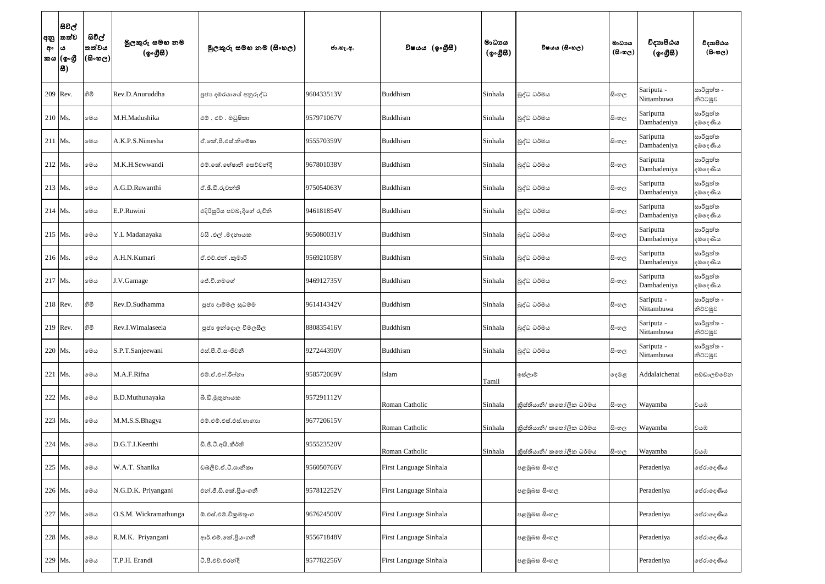| අ <b>ං</b>  ය | සිවිල්<br> අනු  තත්ව<br>කය  (ඉංගී<br> 8) | සිවිල්<br>තත්වය<br> (සිංහල) | මුලකුරු සමහ නම<br>(ඉංගීසී) | මූලකුරු සමහ නම (සිංහල)     | ජා.හැ.අ.   | විෂයය (ඉංගීසී)         | මාධායය<br>$({\cal Q} \circ \mathcal{B} \mathcal{B})$ | විෂයය (සිංහල)            | මාධාය<br>$(B \circ \circledcirc_C)$ | විදාහපීඨය<br>$(\phi \circ \mathcal{B} \mathcal{B})$ | විදාහපීඨය<br>$(B \circ \mathfrak{v}_C)$ |
|---------------|------------------------------------------|-----------------------------|----------------------------|----------------------------|------------|------------------------|------------------------------------------------------|--------------------------|-------------------------------------|-----------------------------------------------------|-----------------------------------------|
|               | 209 Rev.                                 | හිමි                        | Rev.D.Anuruddha            | පූජා දඹරයාගේ අනුරුද්ධ      | 960433513V | Buddhism               | Sinhala                                              | බුද්ධ ධර්මය              | සිංහල                               | Sariputa -<br>Nittambuwa                            | සාරිපුත්ත -<br>නිට්ටඹුව                 |
|               | $210$ Ms.                                | මෙය                         | M.H.Madushika              | එම්. එච්. මධුෂිකා          | 957971067V | Buddhism               | Sinhala                                              | බුද්ධ ධර්මය              | සිංහල                               | Sariputta<br>Dambadeniya                            | සාරිපුත්ත<br>දඹලද <i>ණි</i> ය           |
|               | $211$ Ms.                                | මෙය                         | A.K.P.S.Nimesha            | ඒ.කේ.පී.එස්.නිමේෂා         | 955570359V | Buddhism               | Sinhala                                              | බුද්ධ ධර්මය              | සි∘හල                               | Sariputta<br>Dambadeniya                            | සාරිපුත්ත<br>දඹලද <i>ණි</i> ය           |
|               | 212 Ms.                                  | මෙය                         | M.K.H.Sewwandi             | එම්.කේ.හේෂානි සෙව්වන්දි    | 967801038V | Buddhism               | Sinhala                                              | බුද්ධ ධර්මය              | සි∘හල                               | Sariputta<br>Dambadeniya                            | සාරිපුත්ත<br>දඹලද <i>ණි</i> ය           |
|               | 213 Ms.                                  | මෙය                         | A.G.D.Ruwanthi             | ඒ.ඡී.ඩී.රුවන්ති            | 975054063V | Buddhism               | Sinhala                                              | බුද්ධ ධර්මය              | සි∘හල                               | Sariputta<br>Dambadeniya                            | සාරිපුත්ත<br>දඹදෙණිය                    |
|               | $214$ Ms.                                | මෙය                         | E.P.Ruwini                 | එදිරිසුරිය පටබැදිගේ රුවිනි | 946181854V | Buddhism               | Sinhala                                              | බුද්ධ ධර්මය              | සි∘හල                               | Sariputta<br>Dambadeniya                            | සාරිපුත්ත<br>දඹලද <i>ණි</i> ය           |
|               | $215$ Ms.                                | මෙය                         | Y.L Madanayaka             | වයි .එල් .මදනායක           | 965080031V | Buddhism               | Sinhala                                              | බුද්ධ ධර්මය              | සිංහල                               | Sariputta<br>Dambadeniya                            | සාරිපුත්ත<br>දඹලද <i>ණි</i> ය           |
|               | $216$ Ms.                                | මෙය                         | A.H.N.Kumari               | ඒ.එච්.එන් .කුමාරි          | 956921058V | Buddhism               | Sinhala                                              | බුද්ධ ධර්මය              | සි∘හල                               | Sariputta<br>Dambadeniya                            | සාරිපුත්ත<br>දඹදෙණිය                    |
|               | 217 Ms.                                  | මෙය                         | J.V.Gamage                 | ්.ටී.ගමගේ                  | 946912735V | Buddhism               | Sinhala                                              | බුද්ධ ධර්මය              | සි∘හල                               | Sariputta<br>Dambadeniya                            | සාරිපුත්ත<br>දඹලද <i>ණි</i> ය           |
|               | 218 Rev.                                 | 8ම                          | Rev.D.Sudhamma             | පූජා දාම්මල සුධම්ම         | 961414342V | Buddhism               | Sinhala                                              | බුද්ධ ධර්මය              | සි∘හල                               | Sariputa -<br>Nittambuwa                            | සාරිපුත්ත -<br>නිට්ටඹුව                 |
|               | $219$ Rev.                               | හිමි                        | Rev.I.Wimalaseela          | පූජා ඉන්දොල විමලසීල        | 880835416V | Buddhism               | Sinhala                                              | බුද්ධ ධර්මය              | සිංහල                               | Sariputa -<br>Nittambuwa                            | සාරිපුත්ත -<br>නිට්ටඹුව                 |
|               | 220 Ms.                                  | මෙය                         | S.P.T.Sanjeewani           | එස්.පී.ටී.සංජීවනී          | 927244390V | Buddhism               | Sinhala                                              | බුද්ධ ධර්මය              | සි∘හල                               | Sariputa -<br>Nittambuwa                            | සාරිපුත්ත -<br>නිට්ටඹුව                 |
|               | 221 Ms.                                  | මෙය                         | M.A.F.Rifna                | එම්.ඒ.එෆ්.රිෆ්නා           | 958572069V | Islam                  | Tamil                                                | ඉස්ලාම්                  | දෙමළ                                | Addalaichenai                                       | අඩ්ඩාලච්චේන                             |
|               | 222 Ms.                                  | මෙය                         | B.D.Muthunayaka            | බී.ඩී.මුතුනායක             | 957291112V | Roman Catholic         | Sinhala                                              | කිස්තියානි/ කතෝලික ධර්මය | සි∘හල                               | Wayamba                                             | වයඹ                                     |
|               | 223 Ms.                                  | මෙය                         | M.M.S.S.Bhagya             | එම්.එම්.එස්.එස්.හාගාහ      | 967720615V | Roman Catholic         | Sinhala                                              | කිස්තියානි/ කතෝලික ධර්මය | සි∘හල                               | Wayamba                                             | වයඹ                                     |
|               | 224 Ms.                                  | මෙය                         | D.G.T.I.Keerthi            | ඩී.ජී.ටී.අයි.කීර්ති        | 955523520V | Roman Catholic         | Sinhala                                              | කිස්තියානි/ කතෝලික ධර්මය | සිංහල                               | Wayamba                                             | වයඹ                                     |
|               | 225 Ms.                                  | මෙය                         | W.A.T. Shanika             | ඩබලිව්.ඒ.ටී.ශානිකා         | 956050766V | First Language Sinhala |                                                      | පළමුබස සිංහල             |                                     | Peradeniya                                          | පේරාදෙණිය                               |
|               | 226 Ms.                                  | මෙය                         | N.G.D.K. Priyangani        | එන්.ජී.ඩී.කේ.පියංගනී       | 957812252V | First Language Sinhala |                                                      | පළමුබස සිංහල             |                                     | Peradeniya                                          | පේරාදෙණිය                               |
|               | 227 Ms.                                  | මෙය                         | O.S.M. Wickramathunga      | ඕ.එස්.එම්.විකුමතුංග        | 967624500V | First Language Sinhala |                                                      | පළමුබස සිංහල             |                                     | Peradeniya                                          | පේරාදෙණිය                               |
|               | 228 Ms.                                  | මෙය                         | R.M.K. Priyangani          | ආර්.එම්.කේ.පියංගනී         | 955671848V | First Language Sinhala |                                                      | පළමුබස සිංහල             |                                     | Peradeniya                                          | පේරාදෙණිය                               |
|               | 229 Ms.                                  | මෙය                         | T.P.H. Erandi              | ටී.පී.එච්.එරන්දි           | 957782256V | First Language Sinhala |                                                      | පළමුබස සිංහල             |                                     | Peradeniya                                          | පේරාදෙණිය                               |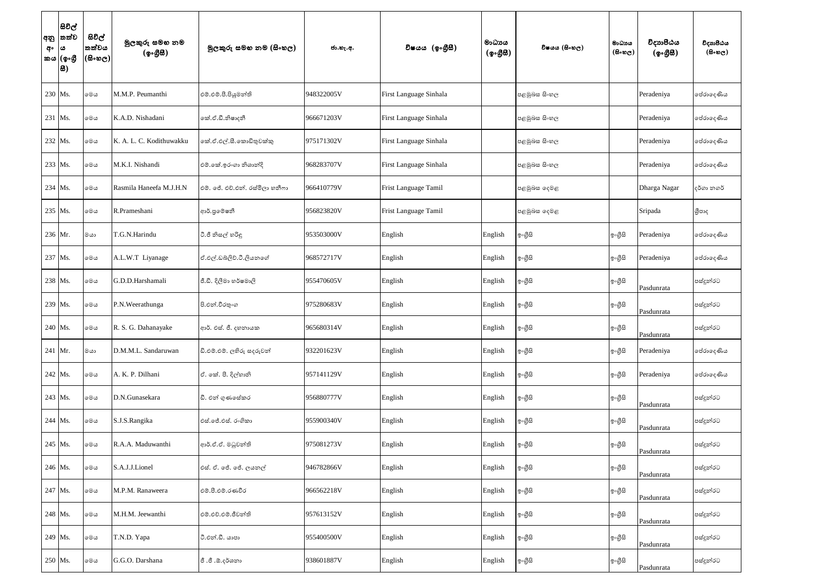| අං      | සිවිල්<br> අනු  තත්ව<br>ය<br>කය (ඉංගුී<br>8 | සිවිල්<br>තත්වය<br>$ \cos \theta$ | මුලකුරු සමහ නම<br>(ඉංගීසී) | මූලකුරු සමහ නම (සිංහල)          | ජා.හැ.අ.   | විෂයය (ඉංගුිසි)        | මාධායය<br>$({\cal Q} \circ {\cal GB})$ | විෂයය (සිංහල) | මාධායය<br>$(B \circ \mathfrak{v}_C)$ | විදාහපීඨය<br>$(\circledcirc \circ \mathcal{B} \mathcal{B})$ | විදාහපීඨය<br>$($ සිංහල) |
|---------|---------------------------------------------|-----------------------------------|----------------------------|---------------------------------|------------|------------------------|----------------------------------------|---------------|--------------------------------------|-------------------------------------------------------------|-------------------------|
| 230 Ms. |                                             | මෙය                               | M.M.P. Peumanthi           | එම්.එම්.පී.පියුමන්ති            | 948322005V | First Language Sinhala |                                        | පළමුබස සිංහල  |                                      | Peradeniya                                                  | පේරාදෙණිය               |
| 231 Ms. |                                             | මෙය                               | K.A.D. Nishadani           | කේ.ඒ.ඩී.නිෂාදනී                 | 966671203V | First Language Sinhala |                                        | පළමුබස සිංහල  |                                      | Peradeniya                                                  | පේරාදෙණිය               |
| 232 Ms. |                                             | මෙය                               | K. A. L. C. Kodithuwakku   | කේ.ඒ.එල්.සී.කොඩිතුවක්කු         | 975171302V | First Language Sinhala |                                        | පළමුබස සිංහල  |                                      | Peradeniya                                                  | පේරාදෙණිය               |
| 233 Ms. |                                             | මෙය                               | M.K.I. Nishandi            | එම්.කේ.ඉරංගා නිශාන්දි           | 968283707V | First Language Sinhala |                                        | පළමුබස සිංහල  |                                      | Peradeniya                                                  | පේරාදෙණිය               |
| 234 Ms. |                                             | මෙය                               | Rasmila Haneefa M.J.H.N    | එම්. ජේ. එච්.එන්. රස්මිලා හනීෆා | 966410779V | Frist Language Tamil   |                                        | පළමුබස දෙමළ   |                                      | Dharga Nagar                                                | දර්ගා නගර්              |
| 235 Ms. |                                             | මෙය                               | R.Prameshani               | ආර්.පුමෙෂනී                     | 956823820V | Frist Language Tamil   |                                        | පළමුඛස දෙමළ   |                                      | Sripada                                                     | ශීපාද                   |
| 236 Mr. |                                             | ගය                                | T.G.N.Harindu              | ටී.ජී නිසල් හරිඳු               | 953503000V | English                | English                                | ඉ∘ගුිසි       | ඉංගීසි                               | Peradeniya                                                  | පේරාදෙණිය               |
| 237 Ms. |                                             | මෙය                               | A.L.W.T Liyanage           | ඒ.එල්.ඩබ්ලිව්.ටී.ලියනගේ         | 968572717V | English                | English                                | ඉංගීසි        | ඉංගීසි                               | Peradeniya                                                  | පේරාදෙණිය               |
| 238 Ms. |                                             | මෙය                               | G.D.D.Harshamali           | ජී.ඩී. දිලීමා හර්ෂමාලි          | 955470605V | English                | English                                | ඉංගුිසි       | ඉංගීසි                               | Pasdunrata                                                  | පස්දුන්රට               |
| 239 Ms. |                                             | මෙය                               | P.N.Weerathunga            | පි.එන්.වීරතුංග                  | 975280683V | English                | English                                | ඉ∘ගුිසි       | ඉංගීසි                               | Pasdunrata                                                  | පස්දුන්රට               |
| 240 Ms. |                                             | මෙය                               | R. S. G. Dahanayake        | ආර්. එස්. ජී. දහනායක            | 965680314V | English                | English                                | ඉංගීසි        | ඉංගීසි                               | Pasdunrata                                                  | පස්දුන්රට               |
| 241 Mr. |                                             | ගය                                | D.M.M.L. Sandaruwan        | ඩි.එම්.එම්. ලහිරු සදරුවන්       | 932201623V | English                | English                                | ඉංගුිසි       | ඉංගීසි                               | Peradeniya                                                  | පේරාදෙණිය               |
| 242 Ms. |                                             | මෙය                               | A. K. P. Dilhani           | ඒ. කේ. පී. දිල්හානි             | 957141129V | English                | English                                | ඉංගුිසි       | ඉංගීසි                               | Peradeniya                                                  | පේරාදෙණිය               |
| 243 Ms. |                                             | මෙය                               | D.N.Gunasekara             | ඩී. එන් ගුණසේකර                 | 956880777V | English                | English                                | ඉංගීසි        | ඉංගුිසි                              | Pasdunrata                                                  | පස්දුන්රට               |
| 244 Ms. |                                             | මෙය                               | S.J.S.Rangika              | එස්.ජේ.එස්. රංගිකා              | 955900340V | English                | English                                | ඉංගුිසි       | ඉංගීසි                               | Pasdunrata                                                  | පස්දුන්රට               |
| 245 Ms. |                                             | මෙය                               | R.A.A. Maduwanthi          | ආර්.ඒ.ඒ. මධුවන්ති               | 975081273V | English                | English                                | ඉංගුිසි       | ඉංගීසි                               | Pasdunrata                                                  | පස්දුන්රට               |
| 246 Ms. |                                             | මෙය                               | S.A.J.J.Lionel             | එස්. ඒ. ජේ. ජේ. ලයනල්           | 946782866V | English                | English                                | ඉංගීසි        | ඉංගීසි                               | Pasdunrata                                                  | පස්දුන්රට               |
| 247 Ms. |                                             | මෙය                               | M.P.M. Ranaweera           | එම්.පී.එම්.රණවීර                | 966562218V | English                | English                                | ඉංගුිසි       | ඉංගීසි                               | Pasdunrata                                                  | පස්දුන්රට               |
| 248 Ms. |                                             | මෙය                               | M.H.M. Jeewanthi           | එම්.එච්.එම්.ජීවන්ති             | 957613152V | English                | English                                | ඉංගීසි        | ඉංගීසි                               | Pasdunrata                                                  | පස්දුන්රට               |
| 249 Ms. |                                             | මෙය                               | T.N.D. Yapa                | ටී.එන්.ඩී. යාපා                 | 955400500V | English                | English                                | ඉංගුිසි       | ඉංගීසි                               | Pasdunrata                                                  | පස්දුන්රට               |
| 250 Ms. |                                             | මෙය                               | G.G.O. Darshana            | ජී .ජී .ඕ.දර්ශනා                | 938601887V | English                | English                                | ඉංගීසි        | ඉංගීසි                               | Pasdunrata                                                  | පස්දුන්රට               |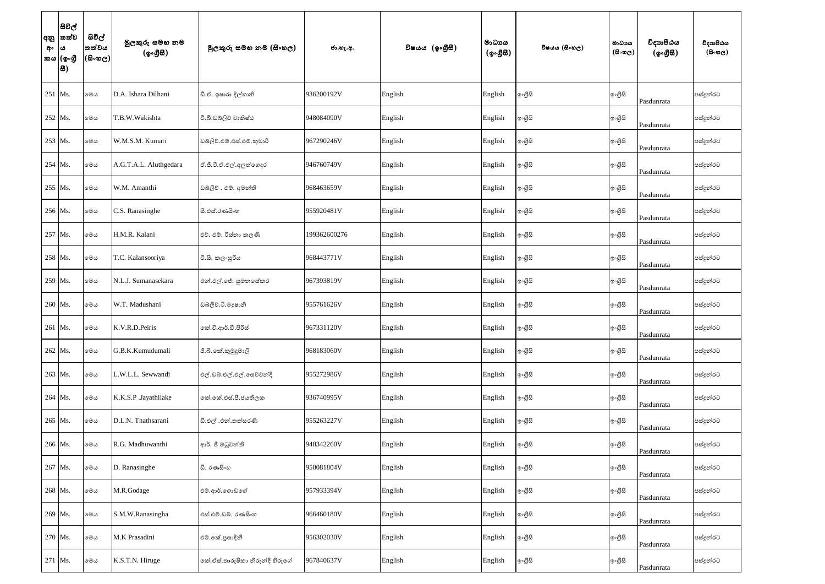| අං | සිවිල්<br> අනු  තත්ව<br>$\omega$<br>කය (ඉංගී<br> 8) | සිවිල්<br>තත්වය<br>$ $ (සිංහල) $ $ | මුලකුරු සමහ නම<br>(ඉංගීසී) | මූලකුරු සමහ නම (සිංහල)          | ජා.හැ.අ.     | විෂයය (ඉංගීුසී) | මාධාය<br>$({\cal Q} \circ \mathcal{B} \mathcal{B})$ | විෂයය (සිංහල) | මාධායය<br>$(B \circ \circledcirc_C)$ | විදාහපීඨය<br>$(\phi \circ \mathcal{B} \mathcal{B})$ | විදාහපීඨය<br>$(B \circ \mathfrak{v}_C)$ |
|----|-----------------------------------------------------|------------------------------------|----------------------------|---------------------------------|--------------|-----------------|-----------------------------------------------------|---------------|--------------------------------------|-----------------------------------------------------|-----------------------------------------|
|    | 251   Ms.                                           | මෙය                                | D.A. Ishara Dilhani        | ඩී.ඒ. ඉෂාරා දිල්හානි            | 936200192V   | English         | English                                             | ඉංගුිසි       | ඉංගීසි                               | Pasdunrata                                          | පස්දුන්රට                               |
|    | 252 Ms.                                             | මෙය                                | T.B.W.Wakishta             | ටී.බී.ඩබ්ලිව් වාකිෂ්ඨ           | 948084090V   | English         | English                                             | ඉංගුිසි       | ඉංගීසි                               | Pasdunrata                                          | පස්දුන්රට                               |
|    | 253 Ms.                                             | මෙය                                | W.M.S.M. Kumari            | ඩබලිව්.එම්.එස්.එම්.කුමාරි       | 967290246V   | English         | English                                             | ඉංගුිසි       | ඉංගීසි                               | Pasdunrata                                          | පස්දුන්රට                               |
|    | 254 Ms.                                             | මෙය                                | A.G.T.A.L. Aluthgedara     | ඒ.ජී.ටී.ඒ.එල්.අලුත්ගෙදර         | 946760749V   | English         | English                                             | ඉංගුිසි       | ඉංගීසි                               | Pasdunrata                                          | පස්දුන්රට                               |
|    | 255 Ms.                                             | මෙය                                | W.M. Amanthi               | ඩබලිව් . එම්. අමන්ති            | 968463659V   | English         | English                                             | ඉ∘ගුිසි       | ඉංගීසි                               | Pasdunrata                                          | පස්දුන්රට                               |
|    | 256 Ms.                                             | මෙය                                | C.S. Ranasinghe            | සී.එස්.රණසිංහ                   | 955920481V   | English         | English                                             | ඉංගුිසි       | ඉංගීසි                               | Pasdunrata                                          | පස්දුන්රට                               |
|    | 257 Ms.                                             | මෙය                                | H.M.R. Kalani              | එච්. එම්. රිස්තා කලණි           | 199362600276 | English         | English                                             | ඉංගුිසි       | ඉංගීසි                               | Pasdunrata                                          | පස්දුන්රට                               |
|    | 258 Ms.                                             | මෙය                                | T.C. Kalansooriya          | ටී.සි. කලංසූරිය                 | 968443771V   | English         | English                                             | ඉංගුිසි       | ඉංගීසි                               | Pasdunrata                                          | පස්දුන්රට                               |
|    | 259 Ms.                                             | මෙය                                | N.L.J. Sumanasekara        | එන්.එල්.ජේ. සුමනසේකර            | 967393819V   | English         | English                                             | ඉංගුිසි       | ඉ∘ගුිසි                              | Pasdunrata                                          | පස්දුන්රට                               |
|    | 260 Ms.                                             | මෙය                                | W.T. Madushani             | ඩබලිව්.ටී.මදූෂානි               | 955761626V   | English         | English                                             | ඉංගුිසි       | ඉංගීසි                               | Pasdunrata                                          | පස්දුන්රට                               |
|    | 261 Ms.                                             | මෙය                                | K.V.R.D.Peiris             | කේ.වී.ආර්.ඩී.පීරිස්             | 967331120V   | English         | English                                             | ඉ∘ගීුසි       | ඉංගීසි                               | Pasdunrata                                          | පස්දුන්රට                               |
|    | 262 Ms.                                             | මෙය                                | G.B.K.Kumudumali           | ජී.බී.කේ.කුමුදුමාලි             | 968183060V   | English         | English                                             | ඉංගුිසි       | ඉංගීසි                               | Pasdunrata                                          | පස්දුන්රට                               |
|    | 263 Ms.                                             | මෙය                                | L.W.L.L. Sewwandi          | එල්.ඩබ්.එල්.එල්.සෙව්වන්දි       | 955272986V   | English         | English                                             | ඉංගුිසි       | ඉංගීසි                               | Pasdunrata                                          | පස්දුන්රට                               |
|    | 264 Ms.                                             | මෙය                                | K.K.S.P .Jayathilake       | කේ.කේ.එස්.පී.ජයතිලක             | 936740995V   | English         | English                                             | ඉංගීසි        | ඉංගීසි                               | Pasdunrata                                          | පස්දුන්රට                               |
|    | 265 Ms.                                             | මෙය                                | D.L.N. Thathsarani         | ඩී.එල් .එන්.තත්සරණි             | 955263227V   | English         | English                                             | ඉංගීසි        | ඉංගීසි                               | Pasdunrata                                          | පස්දුන්රට                               |
|    | 266 Ms.                                             | මෙය                                | R.G. Madhuwanthi           | ආර්. ජී මධුවන්ති                | 948342260V   | English         | English                                             | ඉංගුිසි       | ඉ∘ගුිසි                              | Pasdunrata                                          | පස්දුන්රට                               |
|    | 267 Ms.                                             | මෙය                                | D. Ranasinghe              | ඩී. රණසිංහ                      | 958081804V   | English         | English                                             | ඉංගීසි        | ඉංගීසි                               | Pasdunrata                                          | පස්දුන්රට                               |
|    | 268 Ms.                                             | මෙය                                | M.R.Godage                 | එම්.ආර්.ගොඩගේ                   | 957933394V   | English         | English                                             | ඉංගුිසි       | ඉංගීසි                               | Pasdunrata                                          | පස්දුන්රට                               |
|    | 269 Ms.                                             | මෙය                                | S.M.W.Ranasingha           | එස්.එම්.ඩබ්. රණසිංහ             | 966460180V   | English         | English                                             | ඉංගුිසි       | ඉ∘ගුිසි                              | Pasdunrata                                          | පස්දුන්රට                               |
|    | 270 Ms.                                             | මෙය                                | M.K Prasadini              | එම්.කේ.පුසාදිනී                 | 956302030V   | English         | English                                             | ඉංගීසි        | ඉංගීසි                               | Pasdunrata                                          | පස්දුන්රට                               |
|    | 271 Ms.                                             | මෙය                                | K.S.T.N. Hiruge            | කේ.ඒස්.තාරුෂිකා නිරුන්දි හිරුගේ | 967840637V   | English         | English                                             | ඉංගීසි        | ඉංගීසි                               | Pasdunrata                                          | පස්දුන්රට                               |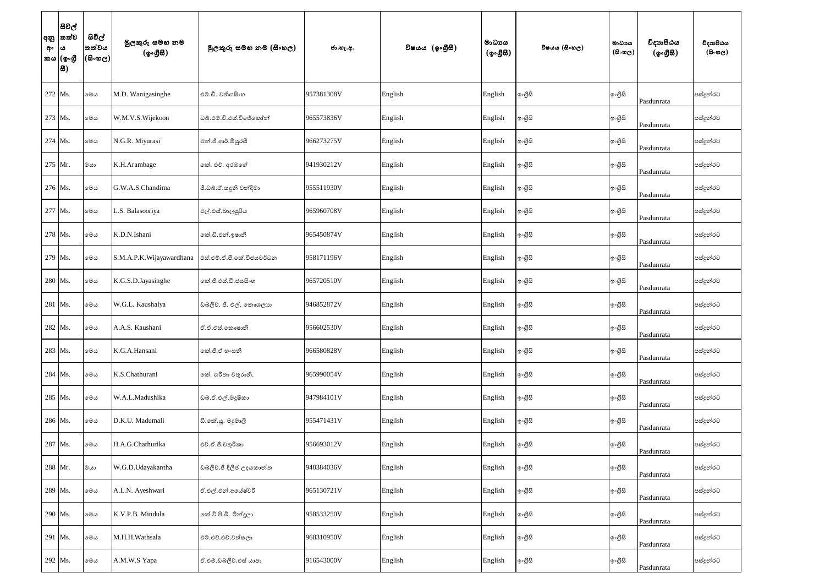| අං | සිවිල්<br> අනු  තත්ව<br>$\pmb{\omega}$<br>කය (ඉංගුී<br>8 | සිවිල්<br>තත්වය<br>$ \mathfrak{G}\circ\mathfrak{G}\circ $ | මුලකුරු සමහ නම<br>(ඉංගීසී) | මූලකුරු සමහ නම (සිංහල)     | ජා.හැ.අ.   | විෂයය (ඉංගීසී) | මාධායය<br>$({\cal Q} \circ \mathcal{B} \mathcal{B})$ | විෂයය (සිංහල) | මාධායය<br>$(B \circ \circledcirc_C)$ | විදාහපීඨය<br>$(\phi \circ \mathcal{B} \mathcal{B})$ | විදාහපීඨය<br>$(B \circ \mathfrak{v}_C)$ |
|----|----------------------------------------------------------|-----------------------------------------------------------|----------------------------|----------------------------|------------|----------------|------------------------------------------------------|---------------|--------------------------------------|-----------------------------------------------------|-----------------------------------------|
|    | 272 Ms.                                                  | මෙය                                                       | M.D. Wanigasinghe          | එම්.ඩී. වනිගසිංහ           | 957381308V | English        | English                                              | ඉංගුිසි       | ඉංගීසි                               | Pasdunrata                                          | පස්දුන්රට                               |
|    | 273 Ms.                                                  | මෙය                                                       | W.M.V.S.Wijekoon           | ඩබ්.එම්.වි.එස්.විජේකෝන්    | 965573836V | English        | English                                              | ඉංගුිසි       | ඉංගීසි                               | Pasdunrata                                          | පස්දුන්රට                               |
|    | 274 Ms.                                                  | මෙය                                                       | N.G.R. Miyurasi            | එන්.ජී.ආර්.මියුරසී         | 966273275V | English        | English                                              | ඉංගුිසි       | ඉංගීසි                               | Pasdunrata                                          | පස්දුන්රට                               |
|    | 275 Mr.                                                  | මයා                                                       | K.H.Arambage               | නේ. එච්. අරඹගේ             | 941930212V | English        | English                                              | ඉංගුිසි       | ඉංගීසි                               | Pasdunrata                                          | පස්දුන්රට                               |
|    | 276 Ms.                                                  | මෙය                                                       | G.W.A.S.Chandima           | ජී.ඩබ්.ඒ.සඳුනි චන්දිමා     | 955511930V | English        | English                                              | ඉංගුිසි       | ඉංගීසි                               | Pasdunrata                                          | පස්දුන්රට                               |
|    | 277 Ms.                                                  | මෙය                                                       | .S. Balasooriya            | එල්.එස්.බාලසූරිය           | 965960708V | English        | English                                              | ඉංගුිසි       | ඉංගීසි                               | Pasdunrata                                          | පස්දුන්රට                               |
|    | 278 Ms.                                                  | මෙය                                                       | K.D.N.Ishani               | කේ.ඩී.එන්.ඉෂානි            | 965450874V | English        | English                                              | ඉංගීසි        | ඉංගීසි                               | Pasdunrata                                          | පස්දුන්රට                               |
|    | 279 Ms.                                                  | මෙය                                                       | S.M.A.P.K.Wijayawardhana   | එස්.එම්.ඒ.පී.කේ.විජයවර්ධන  | 958171196V | English        | English                                              | ඉංගුිසි       | ඉංගීසි                               | Pasdunrata                                          | පස්දුන්රට                               |
|    | 280 Ms.                                                  | මෙය                                                       | K.G.S.D.Jayasinghe         | ෙක්.ජී.එස්.ඩී.ජයසිංහ       | 965720510V | English        | English                                              | ඉංගුිසි       | ඉංගීසි                               | Pasdunrata                                          | පස්දුන්රට                               |
|    | 281 Ms.                                                  | මෙය                                                       | W.G.L. Kaushalya           | ඩබලිව්. ජී. එල්. කෞශලාහ    | 946852872V | English        | English                                              | ඉංගුිසි       | ඉංගීසි                               | Pasdunrata                                          | පස්දුන්රට                               |
|    | 282 Ms.                                                  | මෙය                                                       | A.A.S. Kaushani            | ඒ.ඒ.එස්.කෞෂානි             | 956602530V | English        | English                                              | ඉ∘ගීුසි       | ඉංගීසි                               | Pasdunrata                                          | පස්දුන්රට                               |
|    | 283 Ms.                                                  | මෙය                                                       | K.G.A.Hansani              | ංක්.ජී.ඒ හංසනී             | 966580828V | English        | English                                              | ඉංගුිසි       | ඉංගීසි                               | Pasdunrata                                          | පස්දුන්රට                               |
|    | 284 Ms.                                                  | මෙය                                                       | K.S.Chathurani             | කේ. ශරීතා චතුරානි.         | 965990054V | English        | English                                              | ඉංගීසි        | ඉංගීසි                               | Pasdunrata                                          | පස්දුන්රට                               |
|    | 285 Ms.                                                  | මෙය                                                       | W.A.L.Madushika            | ඩබ්.ඒ.එල්.මදූෂිකා          | 947984101V | English        | English                                              | ඉංගීසි        | ඉ∘ගුිසි                              | Pasdunrata                                          | පස්දුන්රට                               |
|    | 286 Ms.                                                  | මෙය                                                       | D.K.U. Madumali            | ඩී.කේ.යූ. මදුමාලි          | 955471431V | English        | English                                              | ඉංගුිසි       | ඉ∘ගුිසි                              | Pasdunrata                                          | පස්දුන්රට                               |
|    | 287 Ms.                                                  | මෙය                                                       | H.A.G.Chathurika           | එච්.ඒ.ජී.චතුරිකා           | 956693012V | English        | English                                              | ඉංගීසි        | ඉංගීසි                               | Pasdunrata                                          | පස්දුන්රට                               |
|    | 288 Mr.                                                  | මයා                                                       | W.G.D.Udayakantha          | ඩබ්ලිව්.ජී දිලිප් උදයකාන්ත | 940384036V | English        | English                                              | ඉංගුිසි       | ඉංගීසි                               | Pasdunrata                                          | පස්දුන්රට                               |
|    | 289 Ms.                                                  | මෙය                                                       | A.L.N. Ayeshwari           | ඒ.එල්.එන්.අයේෂ්වරි         | 965130721V | English        | English                                              | ඉංගුිසි       | ඉංගීසි                               | Pasdunrata                                          | පස්දුන්රට                               |
|    | 290 Ms.                                                  | මෙය                                                       | K.V.P.B. Mindula           | කේ.වි.පි.බි. මින්දූලා      | 958533250V | English        | English                                              | ඉංගීසි        | ඉංගීසි                               | Pasdunrata                                          | පස්දුන්රට                               |
|    | 291 Ms.                                                  | මෙය                                                       | M.H.H.Wathsala             | එම්.එච්.එච්.වත්සලා         | 968310950V | English        | English                                              | ඉංගුිසි       | ඉ∘ගුිසි                              | Pasdunrata                                          | පස්දුන්රට                               |
|    | 292 Ms.                                                  | මෙය                                                       | A.M.W.S Yapa               | ඒ.එම්.ඩබ්ලිව්.එස් යාපා     | 916543000V | English        | English                                              | ඉංගීසි        | ඉංගීසි                               | Pasdunrata                                          | පස්දුන්රට                               |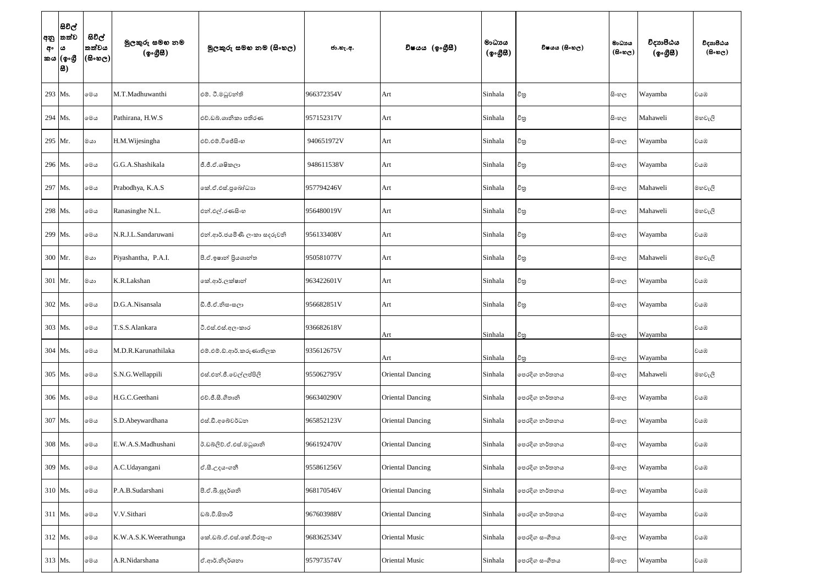| අ <b>ං</b>  ය | සිවිල්<br> අනු  තත්ව<br>කය  (ඉංගී<br> 8) | සිවිල්<br>තත්වය<br> (සිංහල) | මුලකුරු සමහ නම<br>(ඉංගීසී) | මූලකුරු සමහ නම (සිංහල)      | ජා.හැ.අ.   | විෂයය (ඉංගීුසී)         | මාධායය<br>$(\phi \circ \mathcal{B} \mathcal{B})$ | විෂයය (සිංහල) | මාධායය<br>$(\theta \circ \omega_C)$ | විදාහපීඨය<br>$(\phi \circ \mathcal{B} \mathcal{B})$ | විදාහපීඨය<br>$(\theta \circ \omega_C)$ |
|---------------|------------------------------------------|-----------------------------|----------------------------|-----------------------------|------------|-------------------------|--------------------------------------------------|---------------|-------------------------------------|-----------------------------------------------------|----------------------------------------|
|               | 293 Ms.                                  | මෙය                         | M.T.Madhuwanthi            | එම්. ටී.මධුවන්ති            | 966372354V | Art                     | Sinhala                                          | විතු          | සිංහල                               | Wayamba                                             | වයඹ                                    |
|               | 294 Ms.                                  | මෙය                         | Pathirana, H.W.S           | එච්.ඩබ්.ශානිකා පතිරණ        | 957152317V | Art                     | Sinhala                                          | විතු          | සි∘හල                               | Mahaweli                                            | මහවැලි                                 |
|               | 295 Mr.                                  | ගය                          | H.M. Wijesingha            | එච්.එම්.විජේසිංහ            | 940651972V | Art                     | Sinhala                                          | විතු          | සිංහල                               | Wayamba                                             | වයඹ                                    |
|               | 296 Ms.                                  | මෙය                         | G.G.A.Shashikala           | ජී.ජී.ඒ.ශෂිකලා              | 948611538V | Art                     | Sinhala                                          | විතු          | සිංහල                               | Wayamba                                             | වයඹ                                    |
|               | 297 Ms.                                  | මෙය                         | Prabodhya, K.A.S           | නේ.ඒ.එස්.පුබෝධාහ            | 957794246V | Art                     | Sinhala                                          | විතු          | සිංහල                               | Mahaweli                                            | මහවැලි                                 |
|               | 298 Ms.                                  | මෙය                         | Ranasinghe N.L.            | එන්.එල්.රණසිංහ              | 956480019V | Art                     | Sinhala                                          | විතු          | සිංහල                               | Mahaweli                                            | මහවැලි                                 |
|               | 299 Ms.                                  | මෙය                         | N.R.J.L.Sandaruwani        | එන්.ආර්.ජයමිණී ලංකා සදරුවනි | 956133408V | Art                     | Sinhala                                          | විතු          | සි∘හල                               | Wayamba                                             | වයඹ                                    |
|               | 300 Mr.                                  | ගය                          | Piyashantha, P.A.I.        | පී.ඒ.ඉෂාන් පියශාන්ත         | 950581077V | Art                     | Sinhala                                          | විතු          | සිංහල                               | Mahaweli                                            | මහවැලි                                 |
|               | 301 Mr.                                  | ගය                          | K.R.Lakshan                | කේ.ආර්.ලක්ෂාන්              | 963422601V | Art                     | Sinhala                                          | විතු          | සිංහල                               | Wayamba                                             | වයඹ                                    |
|               | 302 Ms.                                  | මෙය                         | D.G.A.Nisansala            | ඩී.ජී.ඒ.නිසංසලා             | 956682851V | Art                     | Sinhala                                          | විතු          | සි∘හල                               | Wayamba                                             | වයඹ                                    |
|               | 303 Ms.                                  | මෙය                         | T.S.S.Alankara             | ටී.එස්.එස්.අලංකාර           | 936682618V | Art                     | Sinhala                                          | චිතු          | සි∘හල                               | Wayamba                                             | වයඹ                                    |
|               | 304 Ms.                                  | මෙය                         | M.D.R.Karunathilaka        | එම්.එම්.ඩ්.ආර්.කරුණාතිලක    | 935612675V | Art                     | Sinhala                                          | විතු          | සි∘හල                               | Wayamba                                             | වයඹ                                    |
|               | 305 Ms.                                  | මෙය                         | S.N.G.Wellappili           | එස්.එත්.ජී.වෙල්ලප්පිලි      | 955062795V | Oriental Dancing        | Sinhala                                          | පෙරදිග නර්තනය | සි∘හල                               | Mahaweli                                            | මහවැලි                                 |
|               | 306 Ms.                                  | මෙය                         | H.G.C.Geethani             | එච්.ජී.සී.ගීතානි            | 966340290V | <b>Oriental Dancing</b> | Sinhala                                          | පෙරදිග නර්තනය | සිංහල                               | Wayamba                                             | වයඹ                                    |
|               | 307 Ms.                                  | මෙය                         | S.D.Abeywardhana           | එස්.ඩී.අබේවර්ධන             | 965852123V | Oriental Dancing        | Sinhala                                          | පෙරදිග නර්තනය | සිංහල                               | Wayamba                                             | වයඹ                                    |
|               | 308 Ms.                                  | මෙය                         | E.W.A.S.Madhushani         | ඊ.ඩබ්ලිව්.ඒ.එස්.මධුශානි     | 966192470V | <b>Oriental Dancing</b> | Sinhala                                          | පෙරදිග නර්තනය | සි∘හල                               | Wayamba                                             | වයඹ                                    |
|               | 309 Ms.                                  | මෙය                         | A.C.Udayangani             | ඒ.සී.උදයංගනී                | 955861256V | <b>Oriental Dancing</b> | Sinhala                                          | පෙරදිග නර්තනය | සිංහල                               | Wayamba                                             | වයඹ                                    |
|               | 310 Ms.                                  | මෙය                         | P.A.B.Sudarshani           | පී.ඒ.බී.සුදර්ශනි            | 968170546V | <b>Oriental Dancing</b> | Sinhala                                          | පෙරදිග නර්තනය | සි∘හල                               | Wayamba                                             | වයඹ                                    |
|               | 311 Ms.                                  | මෙය                         | V.V.Sithari                | ඩබ්.වී.සිතාරි               | 967603988V | <b>Oriental Dancing</b> | Sinhala                                          | පෙරදිග නර්තනය | සිංහල                               | Wayamba                                             | වයඹ                                    |
|               | 312 Ms.                                  | මෙය                         | K.W.A.S.K.Weerathunga      | ංක්.ඩබ්.ඒ.එස්.කේ.වීරතුංග    | 968362534V | <b>Oriental Music</b>   | Sinhala                                          | පෙරදිග සංගීතය | සිංහල                               | Wayamba                                             | වයඹ                                    |
|               | 313 Ms.                                  | මෙය                         | A.R.Nidarshana             | ඒ.ආර්.නිදර්ශනා              | 957973574V | <b>Oriental Music</b>   | Sinhala                                          | පෙරදිග සංගීතය | සිංහල                               | Wayamba                                             | වයඹ                                    |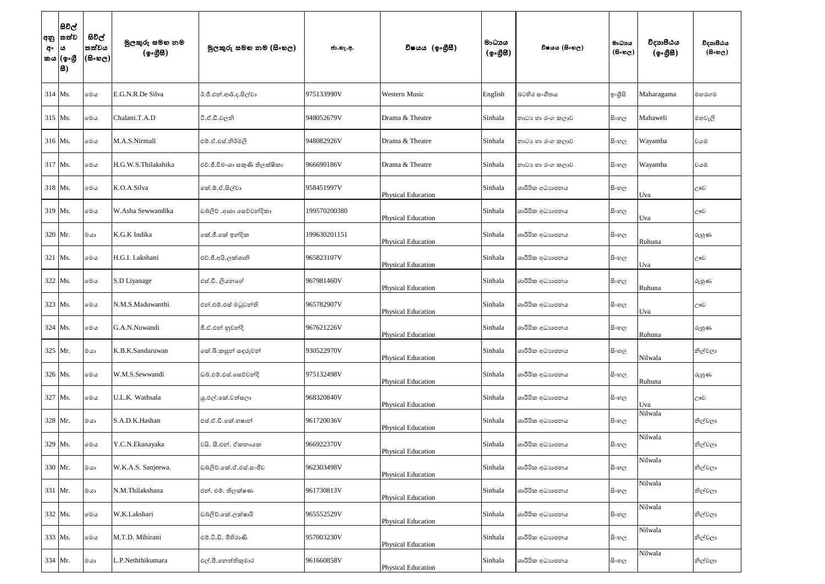| අං  ය | සිවිල්<br> අනු  තත්ව<br>කය  (ඉංගී<br> 8) | සිවිල්<br>තත්වය<br> (සිංහල) | මුලකුරු සමහ නම<br>(ඉංගීසී) | මූලකුරු සමහ නම (සිංහල)        | ජා.හැ.අ.     | විෂයය (ඉංගීසී)            | මාධාය<br>$({\cal Q} \circ \mathcal{B} \mathcal{B})$ | විෂයය (සිංහල)    | මාධායය<br>$(B \circ \circledcirc_C)$ | විදාහපීඨය<br>$(\circledcirc \circ \circledcirc \circledast)$ | විදාහපීඨය<br>$(B \circ \mathfrak{v}_C)$ |
|-------|------------------------------------------|-----------------------------|----------------------------|-------------------------------|--------------|---------------------------|-----------------------------------------------------|------------------|--------------------------------------|--------------------------------------------------------------|-----------------------------------------|
|       | $314$ Ms.                                | මෙය                         | E.G.N.R.De Silva           | ඊ.ජී.එන්.ආර්.ද.සිල්වා         | 975133990V   | <b>Western Music</b>      | English                                             | බටහිර සංගීතය     | ඉංගුිසි                              | Maharagama                                                   | මහරගම                                   |
|       | 315 Ms.                                  | මෙය                         | Chalani.T.A.D              | ටී.ඒ.ඩී.චලනි                  | 948052679V   | Drama & Theatre           | Sinhala                                             | නාටා හා රංග කලාව | සිංහල                                | Mahaweli                                                     | මහවැලි                                  |
|       | 316 Ms.                                  | මෙය                         | M.A.S.Nirmali              | එම්.ඒ.එස්.නිර්මලි             | 948082926V   | Drama & Theatre           | Sinhala                                             | නාටා හා රංග කලාව | සි∘හල                                | Wayamba                                                      | වයඹ                                     |
|       | 317 Ms.                                  | මෙය                         | H.G.W.S.Thilakshika        | එච්.ජී.විමංශා සකුණි තිලක්ෂිකා | 966690186V   | Drama & Theatre           | Sinhala                                             | නාටා හා රංග කලාව | සි∘හල                                | Wayamba                                                      | වයඹ                                     |
|       | 318 Ms.                                  | මෙය                         | K.O.A.Silva                | කේ.ඕ.ඒ.සිල්වා                 | 958451997V   | <b>Physical Education</b> | Sinhala                                             | ශාරීරික අධාහපනය  | සිංහල                                | Uva                                                          | ඌව                                      |
|       | 319 Ms.                                  | මෙය                         | W.Asha Sewwandika          | ඩබ්ලිව් .ආශා සෙව්වන්දිකා      | 199570200380 | <b>Physical Education</b> | Sinhala                                             | ශාරීරික අධාහපනය  | සිංහල                                | Uva                                                          | ඌව                                      |
|       | $320$ Mr.                                | ගය                          | K.G.K Indika               | ංක්.ජී.කේ ඉන්දික              | 199630201151 | <b>Physical Education</b> | Sinhala                                             | ශාරීරික අධාහපනය  | සිංහල                                | Ruhuna                                                       | රුහුණ                                   |
|       | 321 Ms.                                  | මෙය                         | H.G.I. Lakshani            | එච්.ජී.අයි.ලක්ශානි            | 965823107V   | <b>Physical Education</b> | Sinhala                                             | ශාරීරික අධාහපනය  | සිංහල                                | Uva                                                          | ඌව                                      |
|       | 322 Ms.                                  | මෙය                         | S.D Liyanage               | එස්.ඩී. ලියනගේ                | 967981460V   | Physical Education        | Sinhala                                             | ශාරීරික අධාහපනය  | සිංහල                                | Ruhuna                                                       | රුහුණ                                   |
|       | 323 Ms.                                  | මෙය                         | N.M.S.Maduwanthi           | එන්.එම්.එස් මධුවන්ති          | 965782907V   | <b>Physical Education</b> | Sinhala                                             | ශාරීරික අධාහපනය  | සිංහල                                | Uva                                                          | උෟව                                     |
|       | 324 Ms.                                  | මෙය                         | G.A.N.Nuwandi              | ජී.ඒ.එන් නුවන්දි              | 967621226V   | <b>Physical Education</b> | Sinhala                                             | ශාරීරික අධාහපනය  | සිංහල                                | Ruhuna                                                       | රුහුණ                                   |
|       | 325 Mr.                                  | ගය                          | K.B.K.Sandaruwan           | කේ.බී.කසුන් සඳුරුවන්          | 930522970V   | <b>Physical Education</b> | Sinhala                                             | ශාරීරික අධාහපනය  | සි∘හල                                | Nilwala                                                      | නිල්වලා                                 |
|       | 326 Ms.                                  | මෙය                         | W.M.S.Sewwandi             | ඩබ්.එම්.එස්.සෙව්වන්දි         | 975132498V   | <b>Physical Education</b> | Sinhala                                             | ශාරීරික අධාහපනය  | සිංහල                                | Ruhuna                                                       | රුහුණ                                   |
|       | 327 Ms.                                  | මෙය                         | U.L.K. Wathsala            | ශු.එල්.කේ.වත්සලා              | 968320840V   | <b>Physical Education</b> | Sinhala                                             | ශාරීරික අධාහපනය  | සිංහල                                | Uva                                                          | ඌව                                      |
|       | 328 Mr.                                  | ගය                          | S.A.D.K.Hashan             | එස්.ඒ.ඩී.කේ.හෂාන්             | 961720036V   | <b>Physical Education</b> | Sinhala                                             | ශාරීරික අධාහපනය  | සිංහල                                | Nilwala                                                      | නිල්වලා                                 |
|       | 329 Ms.                                  | මෙය                         | Y.C.N.Ekanayaka            | වයි. සී.එන්. ඒකනායක           | 966922370V   | <b>Physical Education</b> | Sinhala                                             | ශාරීරික අධාහපනය  | සිංහල                                | Nilwala                                                      | නිල්වලා                                 |
|       | 330 Mr.                                  | $\cos$                      | W.K.A.S. Sanjeewa.         | ඩබ්ලිව්.කේ.ඒ.එස්.සංජීව        | 962303498V   | <b>Physical Education</b> | Sinhala                                             | ශාරීරික අධාහපනය  | සි∘හල                                | Nilwala                                                      | නිල්වලා                                 |
|       | 331 Mr.                                  | ගය                          | N.M.Thilakshana            | එන්. එම්. තිලක්ෂණ             | 961730813V   | <b>Physical Education</b> | Sinhala                                             | ශාරීරික අධාහපනය  | සි∘හල                                | Nilwala                                                      | නිල්වලා                                 |
|       | 332 Ms.                                  | මෙය                         | W.K.Lakshari               | ඩබ්ලිව්.කේ.ලක්ෂාරි            | 965552529V   | <b>Physical Education</b> | Sinhala                                             | ශාරීරික අධාහපනය  | සි∘හල                                | Nilwala                                                      | නිල්වලා                                 |
|       | 333 Ms.                                  | මෙය                         | M.T.D. Mihirani            | එම්.ටී.ඩී. මිහිරාණි           | 957003230V   | <b>Physical Education</b> | Sinhala                                             | ශාරීරික අධාහපනය  | සිංහල                                | Nilwala                                                      | නිල්වලා                                 |
|       | 334 Mr.                                  | මයා                         | .P.Neththikumara           | එල්.පී.නෙත්තිකුමාර            | 961660858V   | <b>Physical Education</b> | Sinhala                                             | ශාරීරික අධාහපනය  | සිංහල                                | Nilwala                                                      | නිල්වලා                                 |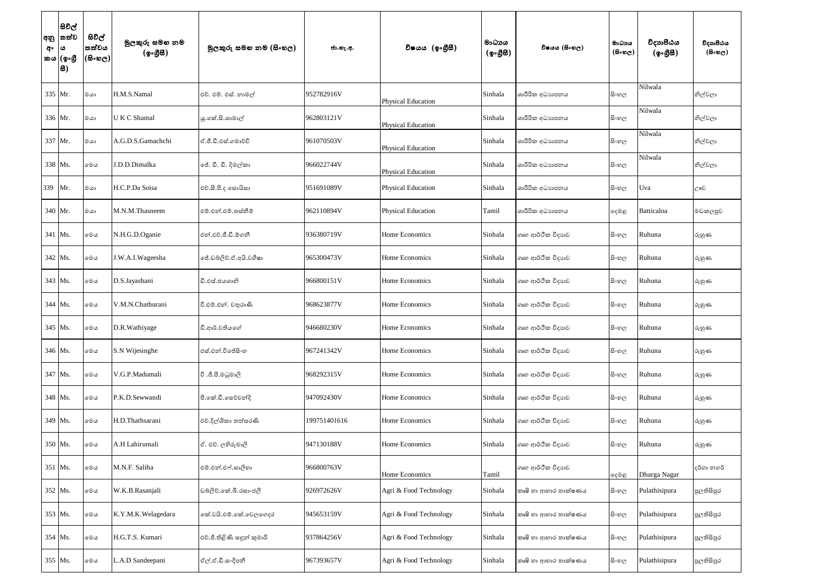| අං  | සිවිල්<br> අනු  තත්ව<br>$\pmb{\omega}$<br>කය (ඉංගුී<br> 8) | සිවිල්<br>තත්වය<br>$ 3 \cdot 10 \cdot 10 $ | මුලකුරු සමහ නම<br>(ඉංගීසී) | මූලකුරු සමහ නම (සිංහල)     | ජා.හැ.අ.     | විෂයය (ඉංගීසී)            | මාධායය<br>$($ ඉංගීසී) | විෂයය (සිංහල)        | මාධායය<br>$(B \circ \omega_C)$ | විදාහපීඨය<br>$(\phi \circ \mathcal{B} \mathcal{B})$ | විදාහපීඨය<br>$($ සිංහල) |
|-----|------------------------------------------------------------|--------------------------------------------|----------------------------|----------------------------|--------------|---------------------------|-----------------------|----------------------|--------------------------------|-----------------------------------------------------|-------------------------|
|     | 335 Mr.                                                    | ගය                                         | H.M.S.Namal                | එච්. එම්. එස්. නාමල්       | 952782916V   | <b>Physical Education</b> | Sinhala               | ශාරීරික අධාහපනය      | සිංහල                          | Nilwala                                             | නිල්වලා                 |
|     | 336 Mr.                                                    | ගය                                         | <b>UKC</b> Shamal          | යු.කේ.සි.ශාමාල්            | 962803121V   | <b>Physical Education</b> | Sinhala               | ශාරීරික අධාහපනය      | සිංහල                          | Nilwala                                             | නිල්වලා                 |
|     | 337 Mr.                                                    | ගය                                         | A.G.D.S.Gamachchi          | ඒ.ජී.ඩී.එස්.ගමාච්චි        | 961070503V   | <b>Physical Education</b> | Sinhala               | ශාරීරික අධාහපනය      | සිංහල                          | Nilwala                                             | නිල්වලා                 |
|     | 338 Ms.                                                    | මෙය                                        | J.D.D.Dimalka              | ේ. ඩී. ඩී. දිමල්කා         | 966022744V   | <b>Physical Education</b> | Sinhala               | ශාරීරික අධාහපනය      | සිංහල                          | Nilwala                                             | නිල්වලා                 |
| 339 | Mr.                                                        | ගය                                         | H.C.P.Da Soisa             | එච්.සී.පී.ද සොයිසා         | 951691089V   | Physical Education        | Sinhala               | ශාරීරික අධාහපනය      | සිංහල                          | Uva                                                 | ඌව                      |
|     | 340 Mr.                                                    | ගය                                         | M.N.M.Thasneem             | එම්.එන්.එම්.තස්නීම්        | 962110894V   | Physical Education        | Tamil                 | ශාරීරික අධාහපනය      | ඈමළ                            | Batticaloa                                          | මඩකලපුව                 |
|     | 341 Ms.                                                    | මෙය                                        | N.H.G.D.Oganie             | එන්.එච්.ජී.ඩී.ඕගනී         | 936380719V   | Home Economics            | Sinhala               | ගෘහ ආර්ථික විදාහව    | සිංහල                          | Ruhuna                                              | රුහුණ                   |
|     | 342 Ms.                                                    | මෙය                                        | J.W.A.I.Wageesha           | ේ.ඩබ්ලිව්.ඒ.අයි.වගීෂා      | 965300473V   | Home Economics            | Sinhala               | ගෘහ ආර්ථික විදාහව    | සි∘හල                          | Ruhuna                                              | රුහුණ                   |
|     | 343 Ms.                                                    | මෙය                                        | D.S.Jayashani              | ඩී.එස්.ජයශානි              | 966800151V   | Home Economics            | Sinhala               | ගෘහ ආර්ථික විදාහව    | සිංහල                          | Ruhuna                                              | රුහුණ                   |
|     | 344 Ms.                                                    | මෙය                                        | V.M.N.Chathurani           | වී.එම්.එන්. චතුරාණි        | 968623877V   | Home Economics            | Sinhala               | ගෘහ ආර්ථික විදාහව    | සි∘හල                          | Ruhuna                                              | රුහුණ                   |
|     | 345 Ms.                                                    | මෙය                                        | D.R.Wathiyage              | ඩී.ආර්.වතියගේ              | 946680230V   | Home Economics            | Sinhala               | ගෘහ ආර්ථික විදාහව    | සි∘හල                          | Ruhuna                                              | රුහුණ                   |
|     | 346 Ms.                                                    | මෙය                                        | S.N Wijesinghe             | එස්.එන්.විජේසිංහ           | 967241342V   | Home Economics            | Sinhala               | ගෘහ ආර්ථික විදාහව    | සිංහල                          | Ruhuna                                              | රුහුණ                   |
|     | 347 Ms.                                                    | මෙය                                        | V.G.P.Madumali             | වී.ජී.පී.මධුමාලි           | 968292315V   | Home Economics            | Sinhala               | ගෘහ ආර්ථික විදාහව    | සිංහල                          | Ruhuna                                              | රුහුණ                   |
|     | 348 Ms.                                                    | මෙය                                        | P.K.D.Sewwandi             | පී.කේ.ඩී.සෙව්වන්දි         | 947092430V   | Home Economics            | Sinhala               | ගෘහ ආර්ථික විදාහව    | සිංහල                          | Ruhuna                                              | රුහුණ                   |
|     | 349 Ms.                                                    | මෙය                                        | H.D.Thathsarani            | එච්.දිල්ශිකා තත්සරණි       | 199751401616 | Home Economics            | Sinhala               | ගෘහ ආර්ථික විදාහව    | සිංහල                          | Ruhuna                                              | රුහුණ                   |
|     | 350 Ms.                                                    | මෙය                                        | A.H Lahirumali             | ඒ. එච්. ලහිරුමාලි          | 947130188V   | Home Economics            | Sinhala               | ගෘහ ආර්ථික විදාහව    | සි∘හල                          | Ruhuna                                              | රුහුණ                   |
|     | 351 Ms.                                                    | මෙය                                        | M.N.F. Saliha              | එම්.එන්.එෆ්.සාලිහා         | 966800763V   | Home Economics            | Tamil                 | ගෘහ ආර්ථික විදාහව    | ඈමළ                            | Dharga Nagar                                        | දර්ගා නගර්              |
|     | 352 Ms.                                                    | මෙය                                        | W.K.B.Rasanjali            | ඩබ්ලිව්.කේ.බී.රසාංජලී      | 926972626V   | Agri & Food Technology    | Sinhala               | කෘෂි හා ආහාර තාක්ෂණය | සිංහල                          | Pulathisipura                                       | පුලතිසිපුර              |
|     | 353 Ms.                                                    | මෙය                                        | K.Y.M.K.Welagedara         | කේ.වයි.එම්.කේ.වෙලගෙදර      | 945653159V   | Agri & Food Technology    | Sinhala               | කෘෂි හා ආහාර තාක්ෂණය | සිංහල                          | Pulathisipura                                       | පුලතිසිපුර              |
|     | 354 Ms.                                                    | මෙය                                        | H.G.T.S. Kumari            | එච්.ජී.තිළිණි සඳුන් කුමාරි | 937864256V   | Agri & Food Technology    | Sinhala               | කෘෂි හා ආහාර තාක්ෂණය | සිංහල                          | Pulathisipura                                       | පුලතිසිපුර              |
|     | 355 Ms.                                                    | මෙය                                        | L.A.D Sandeepani           | ඒල්.ඒ.ඩී.සංදීපනී           | 967393657V   | Agri & Food Technology    | Sinhala               | කෘෂි හා ආහාර තාක්ෂණය | සිංහල                          | Pulathisipura                                       | පුලතිසිපුර              |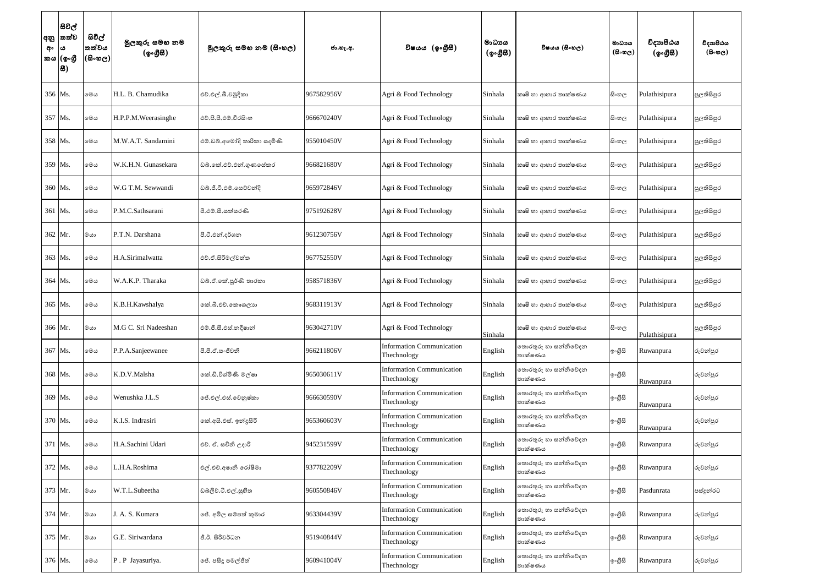| අං | සිවිල්<br> අනු  තත්ව<br>ය<br>කය (ඉංගී<br> 8) | සිවිල්<br>තත්වය<br>$ \mathfrak{G}\circ\mathfrak{G}\circ $ | මුලකුරු සමහ නම<br>(ඉංගීසී) | මූලකුරු සමහ නම (සිංහල)      | ජා.හැ.අ.   | විෂයය (ඉංගීසී)                                  | මාධායය<br>$({\cal Q} \circ \mathcal{B} \mathcal{B})$ | විෂයය (සිංහල)                   | මාධාය<br>$($ සිංහල $)$ | විදාහපීඨය<br>(ඉංගීසී) | විදාහපීඨය<br>$(B \circ \circledcirc_C)$ |
|----|----------------------------------------------|-----------------------------------------------------------|----------------------------|-----------------------------|------------|-------------------------------------------------|------------------------------------------------------|---------------------------------|------------------------|-----------------------|-----------------------------------------|
|    | 356 Ms.                                      | මෙය                                                       | H.L. B. Chamudika          | එච්.එල්.බී.චමුදිකා          | 967582956V | Agri & Food Technology                          | Sinhala                                              | කෘෂි හා ආහාර තාක්ෂණය            | සිංහල                  | Pulathisipura         | පුලතිසිපුර                              |
|    | 357 Ms.                                      | මෙය                                                       | H.P.P.M. Weerasinghe       | එච්.පී.පී.එම්.වීරසිංහ       | 966670240V | Agri & Food Technology                          | Sinhala                                              | කෘෂි හා ආහාර තාක්ෂණය            | සි∘හල                  | Pulathisipura         | පුලතිසිපුර                              |
|    | 358 Ms.                                      | මෙය                                                       | M.W.A.T. Sandamini         | එම්.ඩබ්.අමෝදි තාරිකා සදමිණි | 955010450V | Agri & Food Technology                          | Sinhala                                              | කෘෂි හා ආහාර තාක්ෂණය            | සි∘හල                  | Pulathisipura         | පුලතිසිපුර                              |
|    | 359 Ms.                                      | මෙය                                                       | W.K.H.N. Gunasekara        | ඩබ්.කේ.එච්.එන්.ගුණසේකර      | 966821680V | Agri & Food Technology                          | Sinhala                                              | කෘෂි හා ආහාර තාක්ෂණය            | සි∘හල                  | Pulathisipura         | පුලතිසිපුර                              |
|    | 360 Ms.                                      | මෙය                                                       | W.G T.M. Sewwandi          | ඩබ්.ජී.ටී.එම්.සෙව්වන්දි     | 965972846V | Agri & Food Technology                          | Sinhala                                              | කෘෂි හා ආහාර තාක්ෂණය            | සි∘හල                  | Pulathisipura         | පුලතිසිපුර                              |
|    | 361 Ms.                                      | මෙය                                                       | P.M.C.Sathsarani           | පී.එම්.සී.සත්සරණි           | 975192628V | Agri & Food Technology                          | Sinhala                                              | කෘෂි හා ආහාර තාක්ෂණය            | සි∘හල                  | Pulathisipura         | පුලතිසිපුර                              |
|    | 362 Mr.                                      | ගය                                                        | P.T.N. Darshana            | පී.ටී.එන්.දර්ශන             | 961230756V | Agri & Food Technology                          | Sinhala                                              | කෘෂි හා ආහාර තාක්ෂණය            | සි∘හල                  | Pulathisipura         | පුලතිසිපුර                              |
|    | 363 Ms.                                      | මෙය                                                       | H.A.Sirimalwatta           | එච්.ඒ.සිරිමල්වත්ත           | 967752550V | Agri & Food Technology                          | Sinhala                                              | කෘෂි හා ආහාර තාක්ෂණය            | සි∘හල                  | Pulathisipura         | පුලතිසිපුර                              |
|    | 364 Ms.                                      | මෙය                                                       | W.A.K.P. Tharaka           | ඩබ්.ඒ.කේ.පූර්ණි තාරකා       | 958571836V | Agri & Food Technology                          | Sinhala                                              | කෘෂි හා ආහාර තාක්ෂණය            | සි∘හල                  | Pulathisipura         | පුලතිසිපුර                              |
|    | 365 Ms.                                      | මෙය                                                       | K.B.H.Kawshalya            | කේ.බී.එච්.කෞශලාහ            | 968311913V | Agri & Food Technology                          | Sinhala                                              | කෘෂි හා ආහාර තාක්ෂණය            | සි∘හල                  | Pulathisipura         | පුලතිසිපුර                              |
|    | 366 Mr.                                      | මයා                                                       | M.G C. Sri Nadeeshan       | එම්.ජී.සී.එස්.නදීෂාන්       | 963042710V | Agri & Food Technology                          | Sinhala                                              | කෘෂි හා ආහාර තාක්ෂණය            | සිංහල                  | Pulathisipura         | පුලතිසිපුර                              |
|    | 367 Ms.                                      | මෙය                                                       | P.P.A.Sanjeewanee          | පී.පී.ඒ.සංජීවනී             | 966211806V | <b>Information Communication</b><br>Thechnology | English                                              | තොරතුරු හා සන්නිවේදන<br>තාක්ෂණය | ඉංගීසි                 | Ruwanpura             | රුවන්පුර                                |
|    | 368 Ms.                                      | මෙය                                                       | K.D.V.Malsha               | කේ.ඩි.විශ්මිණි මල්ෂා        | 965030611V | <b>Information Communication</b><br>Thechnology | English                                              | තොරතුරු හා සන්නිවේදන<br>තාක්ෂණය | ඉංගීසි                 | Ruwanpura             | රුවන්පුර                                |
|    | 369 Ms.                                      | මෙය                                                       | Wenushka J.L.S             | ජේ.එල්.එස්.වෙනුෂ්කා         | 966630590V | <b>Information Communication</b><br>Thechnology | English                                              | තොරතුරු හා සන්නිවේදන<br>තාක්ෂණය | ඉංගීසි                 | Ruwanpura             | රුවන්පුර                                |
|    | 370 Ms.                                      | මෙය                                                       | K.I.S. Indrasiri           | කේ.අයි.එස්. ඉන්දුසිරි       | 965360603V | <b>Information Communication</b><br>Thechnology | English                                              | තොරතුරු හා සන්නිවේදන<br>තාක්ෂණය | ඉංගීසි                 | Ruwanpura             | රුවන්පුර                                |
|    | 371 Ms.                                      | මෙය                                                       | H.A.Sachini Udari          | එච්. ඒ. සචිනි උදාරි         | 945231599V | <b>Information Communication</b><br>Thechnology | English                                              | තොරතුරු හා සන්නිවේදන<br>තාක්ෂණය | ඉංගීසි                 | Ruwanpura             | රුවන්පුර                                |
|    | 372 Ms.                                      | මෙය                                                       | H.A.Roshima                | එල්.එච්.අෂානි රෝෂිමා        | 937782209V | <b>Information Communication</b><br>Thechnology | English                                              | තොරතුරු හා සන්නිවේදන<br>තාක්ෂණය | ඉංගීසි                 | Ruwanpura             | රුවන්පුර                                |
|    | 373 Mr.                                      | මයා                                                       | W.T.L.Subeetha             | ඩබ්ලිව්.ටී.එල්.සුහීත        | 960550846V | <b>Information Communication</b><br>Thechnology | English                                              | තොරතුරු හා සන්නිවේදන<br>තාක්ෂණය | ඉංගීසි                 | Pasdunrata            | පස්දුන්රට                               |
|    | 374 Mr.                                      | මයා                                                       | J. A. S. Kumara            | ජේ. අමිල සම්පත් කුමාර       | 963304439V | <b>Information Communication</b><br>Thechnology | English                                              | තොරතුරු හා සන්නිවේදන<br>තාක්ෂණය | ඉංගීසි                 | Ruwanpura             | රුවන්පුර                                |
|    | 375 Mr.                                      | ගය                                                        | G.E. Siriwardana           | ජී.ඊ. සිරිවර්ධන             | 951940844V | <b>Information Communication</b><br>Thechnology | English                                              | තොරතුරු හා සන්නිවේදන<br>තාක්ෂණය | ඉංගීසි                 | Ruwanpura             | රුවන්පුර                                |
|    | 376 Ms.                                      | මෙය                                                       | P. P Jayasuriya.           | ජේ. පසිදු පමල්ජිත්          | 960941004V | <b>Information Communication</b><br>Thechnology | English                                              | තොරතුරු හා සන්නිවේදන<br>තාක්ෂණය | ඉංගීසි                 | Ruwanpura             | රුවන්පුර                                |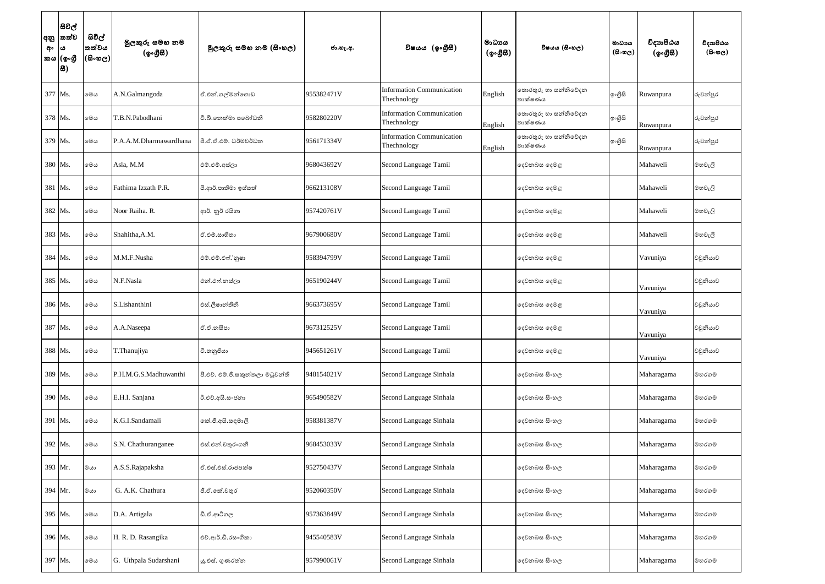| අං | සිවිල්<br> අනු  තත්ව<br>ය<br>කය (ඉංගී<br>8 | සිවිල්<br>තත්වය<br>$(5 \circ 5 \circ 5)$ | මුලකුරු සමහ නම<br>(ඉංගීසී) | මූලකුරු සමහ නම (සිංහල)           | ජා.හැ.අ.   | විෂයය (ඉංගීසී)                                  | මාධායය<br>$(\phi \circ \mathcal{B} \mathcal{B})$ | විෂයය (සිංහල)                   | මාධායය<br>$(B \circ \omega_C)$ | විදාහපීඨය<br>(ඉංගීසී) | විදාහපීඨය<br>$(B \circ \circledcirc e)$ |
|----|--------------------------------------------|------------------------------------------|----------------------------|----------------------------------|------------|-------------------------------------------------|--------------------------------------------------|---------------------------------|--------------------------------|-----------------------|-----------------------------------------|
|    | 377 Ms.                                    | මෙය                                      | A.N.Galmangoda             | ඒ.එන්.ගල්මන්ගොඩ                  | 955382471V | <b>Information Communication</b><br>Thechnology | English                                          | තොරතුරු හා සන්නිවේදන<br>තාක්ෂණය | ඉංගීසි                         | Ruwanpura             | රුවන්පුර                                |
|    | 378 Ms.                                    | මෙය                                      | T.B.N.Pabodhani            | ටී.බී.තෙත්මා පබෝධනී              | 958280220V | <b>Information Communication</b><br>Thechnology | English                                          | තොරතුරු හා සන්නිවේදන<br>තාක්ෂණය | ඉංගීසි                         | Ruwanpura             | රුවන්පුර                                |
|    | 379 Ms.                                    | මෙය                                      | P.A.A.M.Dharmawardhana     | පි.ඒ.ඒ.එම්. ධර්මවර්ධන            | 956171334V | <b>Information Communication</b><br>Thechnology | English                                          | තොරතුරු හා සන්නිවේදන<br>තාක්ෂණය | ඉංගීසි                         | Ruwanpura             | රුවන්පුර                                |
|    | 380 Ms.                                    | මෙය                                      | Asla, M.M                  | එම්.එම්.අස්ලා                    | 968043692V | Second Language Tamil                           |                                                  | දෙවනබස දෙමළ                     |                                | Mahaweli              | මහවැලි                                  |
|    | 381 Ms.                                    | මෙය                                      | Fathima Izzath P.R.        | පී.ආර්.පාතිමා ඉස්සත්             | 966213108V | Second Language Tamil                           |                                                  | දෙවනබස දෙමළ                     |                                | Mahaweli              | මහවැලි                                  |
|    | 382 Ms.                                    | මෙය                                      | Noor Raiha. R.             | ආර්. නූර් රයිහා                  | 957420761V | Second Language Tamil                           |                                                  | දෙවනබස දෙමළ                     |                                | Mahaweli              | මහවැලි                                  |
|    | 383 Ms.                                    | මෙය                                      | Shahitha, A.M.             | ඒ.එම්.සාහිතා                     | 967900680V | Second Language Tamil                           |                                                  | දෙවනබස දෙමළ                     |                                | Mahaweli              | මහවැලි                                  |
|    | 384 Ms.                                    | මෙය                                      | M.M.F.Nusha                | එම්.එම්.එෆ්.'නූෂා                | 958394799V | Second Language Tamil                           |                                                  | දෙවනබස දෙමළ                     |                                | Vavuniya              | වවුනියාව                                |
|    | 385 Ms.                                    | මෙය                                      | N.F.Nasla                  | එන්.එෆ්.නස්ලා                    | 965190244V | Second Language Tamil                           |                                                  | දෙවනබස දෙමළ                     |                                | Vavuniya              | වවුනියාව                                |
|    | 386 Ms.                                    | මෙය                                      | S.Lishanthini              | එස්.ලිෂාන්තිනි                   | 966373695V | Second Language Tamil                           |                                                  | දෙවනබස දෙමළ                     |                                | Vavuniya              | වවුනියාව                                |
|    | 387 Ms.                                    | මෙය                                      | A.A.Naseepa                | ඒ.ඒ.නසීපා                        | 967312525V | Second Language Tamil                           |                                                  | දෙවනබස දෙමළ                     |                                | Vavuniya              | වවුනියාව                                |
|    | 388 Ms.                                    | මෙය                                      | T.Thanujiya                | ටී.තනුජියා                       | 945651261V | Second Language Tamil                           |                                                  | දෙවනබස දෙමළ                     |                                | Vavuniya              | වවුනියාව                                |
|    | 389 Ms.                                    | මෙය                                      | P.H.M.G.S.Madhuwanthi      | පී.එච්. එම්.ජී.සකුත්තලා මධුවන්ති | 948154021V | Second Language Sinhala                         |                                                  | දෙවනබස සිංහල                    |                                | Maharagama            | මහරගම                                   |
|    | 390 Ms.                                    | මෙය                                      | E.H.I. Sanjana             | ඊ.එච්.අයි.සංජනා                  | 965490582V | Second Language Sinhala                         |                                                  | දෙවනබස සිංහල                    |                                | Maharagama            | මහරගම                                   |
|    | 391 Ms.                                    | මෙය                                      | K.G.I.Sandamali            | කේ.ජී.අයි.සඳමාලි                 | 958381387V | Second Language Sinhala                         |                                                  | දෙවනබස සිංහල                    |                                | Maharagama            | මහරගම                                   |
|    | 392 Ms.                                    | මෙය                                      | S.N. Chathuranganee        | එස්.එන්.චතුරංගනී                 | 968453033V | Second Language Sinhala                         |                                                  | දෙවනබස සිංහල                    |                                | Maharagama            | මහරගම                                   |
|    | 393 Mr.                                    | මයා                                      | A.S.S.Rajapaksha           | ඒ.එස්.එස්.රාජපක්ෂ                | 952750437V | Second Language Sinhala                         |                                                  | දෙවනබස සිංහල                    |                                | Maharagama            | මහරගම                                   |
|    | 394 Mr.                                    | මයා                                      | G. A.K. Chathura           | ජී.ඒ.කේ.චතුර                     | 952060350V | Second Language Sinhala                         |                                                  | දෙවනබස සිංහල                    |                                | Maharagama            | මහරගම                                   |
|    | 395 Ms.                                    | මෙය                                      | D.A. Artigala              | ඩී.ඒ.ආටිගල                       | 957363849V | Second Language Sinhala                         |                                                  | දෙවනබස සිංහල                    |                                | Maharagama            | මහරගම                                   |
|    | 396 Ms.                                    | මෙය                                      | H. R. D. Rasangika         | එච්.ආර්.ඩී.රසංගිකා               | 945540583V | Second Language Sinhala                         |                                                  | දෙවනබස සිංහල                    |                                | Maharagama            | මහරගම                                   |
|    | 397 Ms.                                    | මෙය                                      | G. Uthpala Sudarshani      | යූ.එස්. ගුණරත්න                  | 957990061V | Second Language Sinhala                         |                                                  | දෙවනබස සිංහල                    |                                | Maharagama            | මහරගම                                   |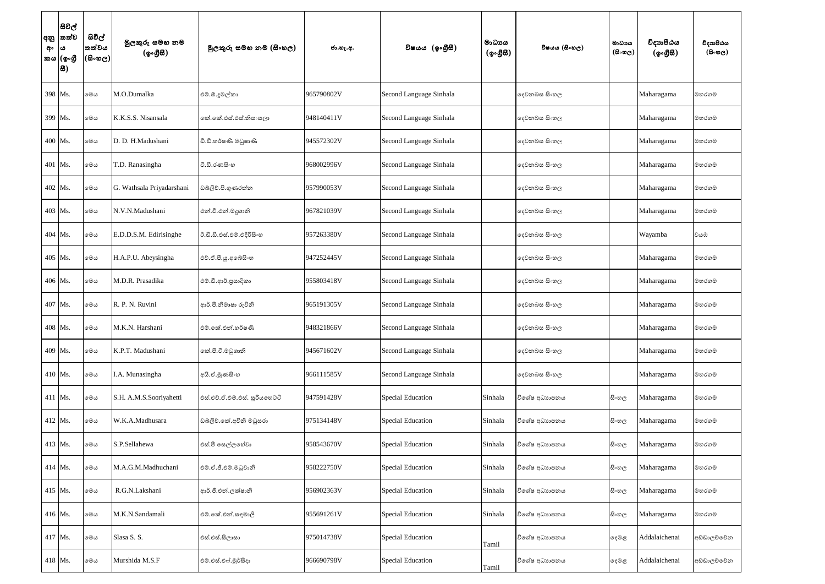| අං      | සිවිල්<br> අනු  තත්ව<br>ය<br>'කය (ඉංගුී<br> 8) | සිවිල්<br>තත්වය<br>(600) | මුලකුරු සමහ නම<br>(ඉංගීසී) | මූලකුරු සමහ නම (සිංහල)         | ජා.හැ.අ.   | විෂයය (ඉංගීසී)           | මාධායය<br>$({\cal Q} \circ \mathcal{B} \mathcal{B})$ | විෂයය (සිංහල) | මාධායය<br>$(B \circ \circledcirc_C)$ | විදාහපීඨය<br>(ඉංගීසී) | විදාහපීඨය<br>$(B \circ \circledcirc_C)$ |
|---------|------------------------------------------------|--------------------------|----------------------------|--------------------------------|------------|--------------------------|------------------------------------------------------|---------------|--------------------------------------|-----------------------|-----------------------------------------|
| 398 Ms. |                                                | මෙය                      | M.O.Dumalka                | එම්.ඕ.දූමල්කා                  | 965790802V | Second Language Sinhala  |                                                      | දෙවනබස සිංහල  |                                      | Maharagama            | මහරගම                                   |
| 399 Ms. |                                                | මෙය                      | K.K.S.S. Nisansala         | ෙක්.කේ.එස්.එස්.නිසංසලා         | 948140411V | Second Language Sinhala  |                                                      | දෙවනබස සිංහල  |                                      | Maharagama            | මහරගම                                   |
| 400 Ms. |                                                | මෙය                      | D. D. H.Madushani          | ඩී.ඩී.හර්ෂණී මධුෂාණි           | 945572302V | Second Language Sinhala  |                                                      | දෙවනබස සිංහල  |                                      | Maharagama            | මහරගම                                   |
| 401 Ms. |                                                | මෙය                      | T.D. Ranasingha            | ටී.ඩී.රණසිංහ                   | 968002996V | Second Language Sinhala  |                                                      | දෙවනබස සිංහල  |                                      | Maharagama            | මහරගම                                   |
| 402 Ms. |                                                | මෙය                      | G. Wathsala Priyadarshani  | ඩබ්ලිව්.පී.ගුණරත්න             | 957990053V | Second Language Sinhala  |                                                      | දෙවනබස සිංහල  |                                      | Maharagama            | මහරගම                                   |
| 403 Ms. |                                                | මෙය                      | N.V.N.Madushani            | එන්.වී.එන්.මදුශානි             | 967821039V | Second Language Sinhala  |                                                      | දෙවනබස සිංහල  |                                      | Maharagama            | මහරගම                                   |
| 404 Ms. |                                                | මෙය                      | E.D.D.S.M. Edirisinghe     | ඊ.ඩී.ඩී.එස්.එම්.එදිරිසිංහ      | 957263380V | Second Language Sinhala  |                                                      | දෙවනබස සිංහල  |                                      | Wayamba               | වයඹ                                     |
| 405 Ms. |                                                | මෙය                      | H.A.P.U. Abeysingha        | එච්.ඒ.පී.යූ.අබේසිංහ            | 947252445V | Second Language Sinhala  |                                                      | දෙවනබස සිංහල  |                                      | Maharagama            | මහරගම                                   |
| 406 Ms. |                                                | මෙය                      | M.D.R. Prasadika           | එම්.ඩී.ආර්.පුසාදිකා            | 955803418V | Second Language Sinhala  |                                                      | දෙවනබස සිංහල  |                                      | Maharagama            | මහරගම                                   |
| 407 Ms. |                                                | මෙය                      | R. P. N. Ruvini            | ආර්.පී.නිමාෂා රුවිනි           | 965191305V | Second Language Sinhala  |                                                      | දෙවනබස සිංහල  |                                      | Maharagama            | මහරගම                                   |
| 408 Ms. |                                                | මෙය                      | M.K.N. Harshani            | එම්.කේ.එන්.හර්ෂණි              | 948321866V | Second Language Sinhala  |                                                      | දෙවනබස සිංහල  |                                      | Maharagama            | මහරගම                                   |
| 409 Ms. |                                                | මෙය                      | K.P.T. Madushani           | කේ.පී.ටී.මධුශානි               | 945671602V | Second Language Sinhala  |                                                      | දෙවනබස සිංහල  |                                      | Maharagama            | මහරගම                                   |
| 410 Ms. |                                                | මෙය                      | I.A. Munasingha            | අයි.ඒ.මුණසිංහ                  | 966111585V | Second Language Sinhala  |                                                      | දෙවනබස සිංහල  |                                      | Maharagama            | මහරගම                                   |
| 411 Ms. |                                                | මෙය                      | S.H. A.M.S.Sooriyahetti    | එස්.එච්.ඒ.එම්.එස්. සූරියහෙට්ටි | 947591428V | <b>Special Education</b> | Sinhala                                              | විශේෂ අධාහපනය | සිංහල                                | Maharagama            | මහරගම                                   |
| 412 Ms. |                                                | මෙය                      | W.K.A.Madhusara            | ඩබලිව්.කේ.අචිනි මධුසරා         | 975134148V | <b>Special Education</b> | Sinhala                                              | විශේෂ අධාහපනය | සිංහල                                | Maharagama            | මහරගම                                   |
| 413 Ms. |                                                | මෙය                      | S.P.Sellahewa              | එස්.පී සෙල්ලහේවා               | 958543670V | <b>Special Education</b> | Sinhala                                              | විශේෂ අධාහපනය | සිංහල                                | Maharagama            | මහරගම                                   |
| 414 Ms. |                                                | මෙය                      | M.A.G.M.Madhuchani         | එම්.ඒ.ජී.එම්.මධුවානි           | 958222750V | <b>Special Education</b> | Sinhala                                              | විශේෂ අධාහපනය | සිංහල                                | Maharagama            | මහරගම                                   |
| 415 Ms. |                                                | මෙය                      | R.G.N.Lakshani             | ආර්.ජී.එන්.ලක්ෂානි             | 956902363V | <b>Special Education</b> | Sinhala                                              | විශේෂ අධාහපනය | සිංහල                                | Maharagama            | මහරගම                                   |
| 416 Ms. |                                                | මෙය                      | M.K.N.Sandamali            | එම්.කේ.එන්.සඳමාලි              | 955691261V | Special Education        | Sinhala                                              | විශේෂ අධාහපනය | සි∘හල                                | Maharagama            | මහරගම                                   |
| 417 Ms. |                                                | මෙය                      | Slasa S. S.                | එස්.එස්.සිලාසා                 | 975014738V | <b>Special Education</b> | Tamil                                                | විශේෂ අධාහපනය | දෙමළ                                 | Addalaichenai         | අඩ්ඩාලච්චේන                             |
| 418 Ms. |                                                | මෙය                      | Murshida M.S.F             | එම්.එස්.එෆ්.මූර්සිදා           | 966690798V | <b>Special Education</b> | Tamil                                                | විශේෂ අධාහපනය | දෙමළ                                 | Addalaichenai         | අඩ්ඩාලච්චේන                             |